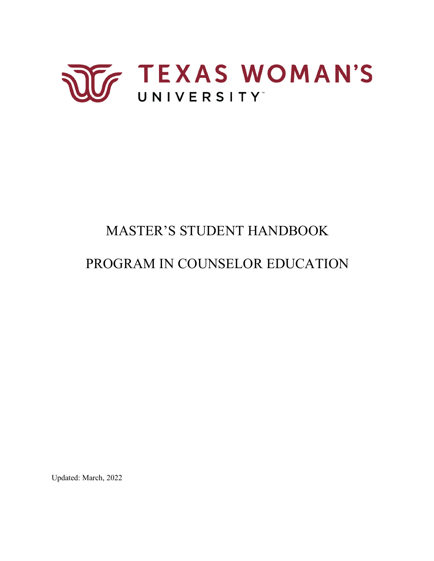

# MASTER'S STUDENT HANDBOOK

# PROGRAM IN COUNSELOR EDUCATION

Updated: March, 2022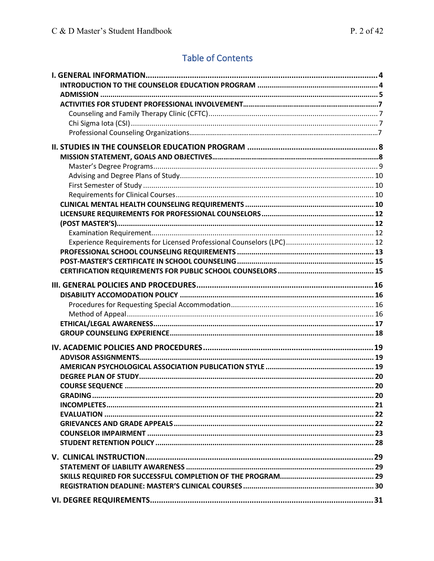## **Table of Contents**

| <b>COURSE SEQUENCE</b> |  |
|------------------------|--|
|                        |  |
|                        |  |
|                        |  |
|                        |  |
|                        |  |
|                        |  |
|                        |  |
|                        |  |
|                        |  |
|                        |  |
|                        |  |
|                        |  |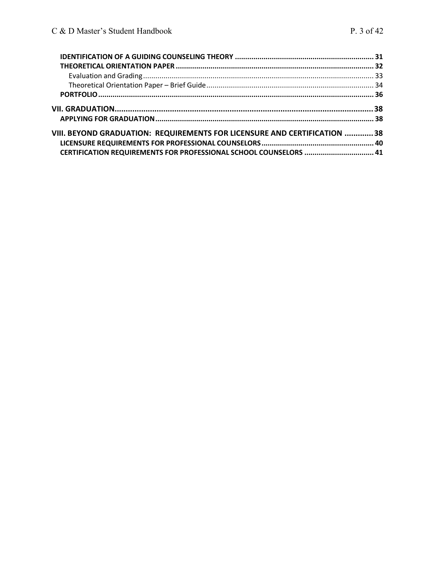| VIII. BEYOND GRADUATION: REQUIREMENTS FOR LICENSURE AND CERTIFICATION 38 |  |
|--------------------------------------------------------------------------|--|
|                                                                          |  |
| CERTIFICATION REQUIREMENTS FOR PROFESSIONAL SCHOOL COUNSELORS  41        |  |
|                                                                          |  |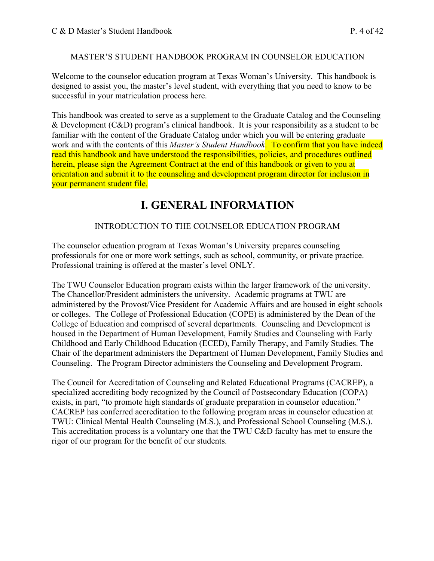#### MASTER'S STUDENT HANDBOOK PROGRAM IN COUNSELOR EDUCATION

 Welcome to the counselor education program at Texas Woman's University. This handbook is designed to assist you, the master's level student, with everything that you need to know to be successful in your matriculation process here.

 This handbook was created to serve as a supplement to the Graduate Catalog and the Counseling & Development  $(C&D)$  program's clinical handbook. It is your responsibility as a student to be familiar with the content of the Graduate Catalog under which you will be entering graduate work and with the contents of this *Master's Student Handbook*. To confirm that you have indeed read this handbook and have understood the responsibilities, policies, and procedures outlined herein, please sign the Agreement Contract at the end of this handbook or given to you at orientation and submit it to the counseling and development program director for inclusion in your permanent student file.

## **I. GENERAL INFORMATION**

#### INTRODUCTION TO THE COUNSELOR EDUCATION PROGRAM

 The counselor education program at Texas Woman's University prepares counseling professionals for one or more work settings, such as school, community, or private practice. Professional training is offered at the master's level ONLY.

 The TWU Counselor Education program exists within the larger framework of the university. The Chancellor/President administers the university. Academic programs at TWU are administered by the Provost/Vice President for Academic Affairs and are housed in eight schools or colleges. The College of Professional Education (COPE) is administered by the Dean of the College of Education and comprised of several departments. Counseling and Development is housed in the Department of Human Development, Family Studies and Counseling with Early Childhood and Early Childhood Education (ECED), Family Therapy, and Family Studies. The Chair of the department administers the Department of Human Development, Family Studies and Counseling. The Program Director administers the Counseling and Development Program.

 The Council for Accreditation of Counseling and Related Educational Programs (CACREP), a specialized accrediting body recognized by the Council of Postsecondary Education (COPA) exists, in part, "to promote high standards of graduate preparation in counselor education." CACREP has conferred accreditation to the following program areas in counselor education at TWU: Clinical Mental Health Counseling (M.S.), and Professional School Counseling (M.S.). This accreditation process is a voluntary one that the TWU C&D faculty has met to ensure the rigor of our program for the benefit of our students.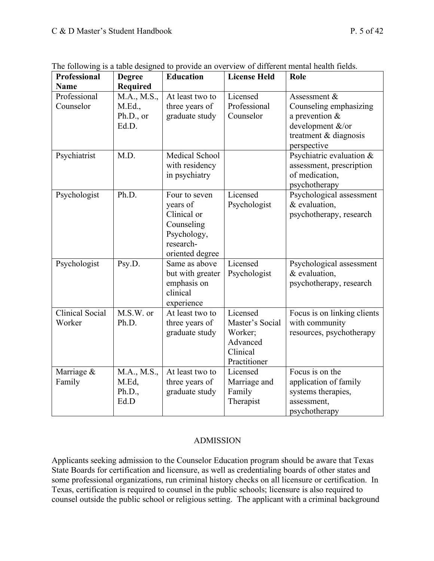| Professional           | <b>Degree</b>   | <b>Education</b>                 | <b>License Held</b> | Role                        |  |
|------------------------|-----------------|----------------------------------|---------------------|-----------------------------|--|
| <b>Name</b>            | <b>Required</b> |                                  |                     |                             |  |
| Professional           | M.A., M.S.,     | At least two to                  | Licensed            | Assessment &                |  |
| Counselor              | M.Ed.,          | three years of                   | Professional        | Counseling emphasizing      |  |
|                        | Ph.D., or       | graduate study                   | Counselor           | a prevention $&$            |  |
|                        | Ed.D.           |                                  |                     | development &/or            |  |
|                        |                 |                                  |                     | treatment & diagnosis       |  |
|                        |                 |                                  |                     | perspective                 |  |
| Psychiatrist           | M.D.            | Medical School                   |                     | Psychiatric evaluation &    |  |
|                        |                 | with residency                   |                     | assessment, prescription    |  |
|                        |                 | in psychiatry                    |                     | of medication,              |  |
|                        |                 |                                  |                     | psychotherapy               |  |
| Psychologist           | Ph.D.           | Four to seven                    | Licensed            | Psychological assessment    |  |
|                        |                 | years of                         | Psychologist        | & evaluation,               |  |
|                        |                 | Clinical or                      |                     | psychotherapy, research     |  |
|                        |                 | Counseling                       |                     |                             |  |
|                        |                 | Psychology,                      |                     |                             |  |
|                        |                 | research-                        |                     |                             |  |
|                        | Psy.D.          | oriented degree<br>Same as above | Licensed            | Psychological assessment    |  |
| Psychologist           |                 | but with greater                 | Psychologist        | & evaluation,               |  |
|                        |                 | emphasis on                      |                     | psychotherapy, research     |  |
|                        |                 | clinical                         |                     |                             |  |
|                        |                 | experience                       |                     |                             |  |
| <b>Clinical Social</b> | M.S.W. or       | At least two to                  | Licensed            | Focus is on linking clients |  |
| Worker                 | Ph.D.           | three years of                   | Master's Social     | with community              |  |
|                        |                 | graduate study                   | Worker;             | resources, psychotherapy    |  |
|                        |                 |                                  | Advanced            |                             |  |
|                        |                 |                                  | Clinical            |                             |  |
|                        |                 |                                  | Practitioner        |                             |  |
| Marriage &             | M.A., M.S.,     | At least two to                  | Licensed            | Focus is on the             |  |
| Family                 | M.Ed,           | three years of                   | Marriage and        | application of family       |  |
|                        | Ph.D.,          | graduate study                   | Family              | systems therapies,          |  |
|                        | Ed.D            |                                  | Therapist           | assessment,                 |  |
|                        |                 |                                  |                     | psychotherapy               |  |

The following is a table designed to provide an overview of different mental health fields.

#### ADMISSION

 Applicants seeking admission to the Counselor Education program should be aware that Texas State Boards for certification and licensure, as well as credentialing boards of other states and some professional organizations, run criminal history checks on all licensure or certification. In Texas, certification is required to counsel in the public schools; licensure is also required to counsel outside the public school or religious setting. The applicant with a criminal background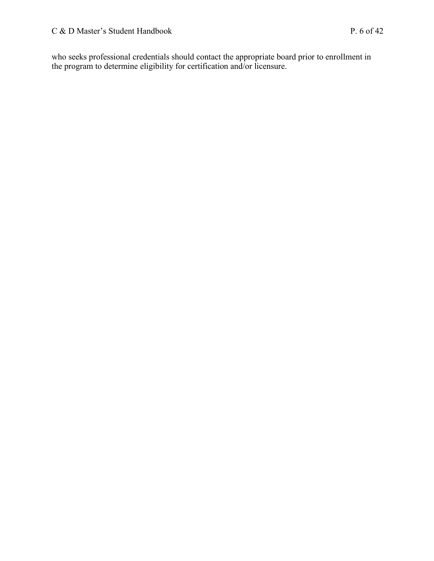who seeks professional credentials should contact the appropriate board prior to enrollment in the program to determine eligibility for certification and/or licensure.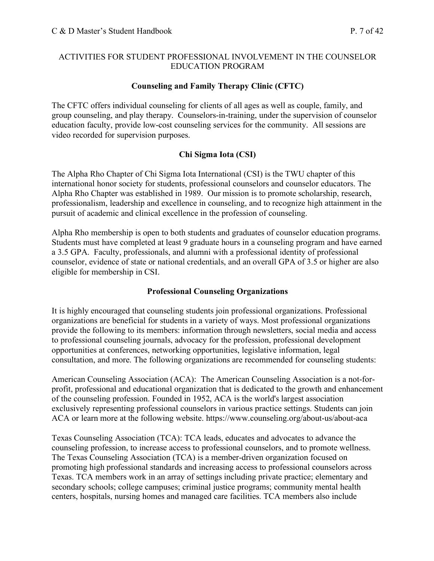#### ACTIVITIES FOR STUDENT PROFESSIONAL INVOLVEMENT IN THE COUNSELOR EDUCATION PROGRAM

#### **Counseling and Family Therapy Clinic (CFTC)**

 The CFTC offers individual counseling for clients of all ages as well as couple, family, and group counseling, and play therapy. Counselors-in-training, under the supervision of counselor education faculty, provide low-cost counseling services for the community. All sessions are video recorded for supervision purposes.

#### **Chi Sigma Iota (CSI)**

 The Alpha Rho Chapter of Chi Sigma Iota International (CSI) is the TWU chapter of this international honor society for students, professional counselors and counselor educators. The Alpha Rho Chapter was established in 1989. Our mission is to promote scholarship, research, professionalism, leadership and excellence in counseling, and to recognize high attainment in the pursuit of academic and clinical excellence in the profession of counseling.

 Alpha Rho membership is open to both students and graduates of counselor education programs. Students must have completed at least 9 graduate hours in a counseling program and have earned a 3.5 GPA. Faculty, professionals, and alumni with a professional identity of professional counselor, evidence of state or national credentials, and an overall GPA of 3.5 or higher are also eligible for membership in CSI.

#### **Professional Counseling Organizations**

 It is highly encouraged that counseling students join professional organizations. Professional organizations are beneficial for students in a variety of ways. Most professional organizations provide the following to its members: information through newsletters, social media and access to professional counseling journals, advocacy for the profession, professional development opportunities at conferences, networking opportunities, legislative information, legal consultation, and more. The following organizations are recommended for counseling students:

 American Counseling Association (ACA): The American Counseling Association is a not-for- profit, professional and educational organization that is dedicated to the growth and enhancement of the counseling profession. Founded in 1952, ACA is the world's largest association exclusively representing professional counselors in various practice settings. Students can join ACA or learn more at the following website. <https://www.counseling.org/about-us/about-aca>

 Texas Counseling Association (TCA): TCA leads, educates and advocates to advance the counseling profession, to increase access to professional counselors, and to promote wellness. The Texas Counseling Association (TCA) is a member-driven organization focused on promoting high professional standards and increasing access to professional counselors across Texas. TCA members work in an array of settings including private practice; elementary and secondary schools; college campuses; criminal justice programs; community mental health centers, hospitals, nursing homes and managed care facilities. TCA members also include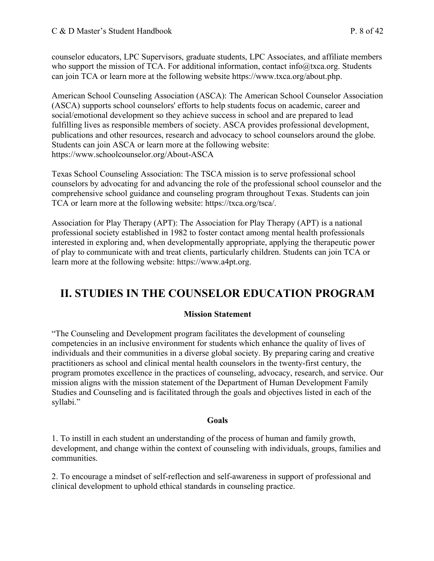counselor educators, LPC Supervisors, graduate students, LPC Associates, and affiliate members who support the mission of TCA. For additional information, contact [info@txca.org.](mailto:info@txca.org) Students can join TCA or learn more at the following website [https://www.txca.org/about.php.](https://www.txca.org/about.php)

 American School Counseling Association (ASCA): The American School Counselor Association (ASCA) supports school counselors' efforts to help students focus on academic, career and social/emotional development so they achieve success in school and are prepared to lead fulfilling lives as responsible members of society. ASCA provides professional development, publications and other resources, research and advocacy to school counselors around the globe. Students can join ASCA or learn more at the following website: <https://www.schoolcounselor.org/About-ASCA>

 Texas School Counseling Association: The TSCA mission is to serve professional school counselors by advocating for and advancing the role of the professional school counselor and the comprehensive school guidance and counseling program throughout Texas. Students can join TCA or learn more at the following website: [https://txca.org/tsca/](https://txca.org/tsca).

 Association for Play Therapy (APT): The Association for Play Therapy (APT) is a national professional society established in 1982 to foster contact among mental health professionals interested in exploring and, when developmentally appropriate, applying the therapeutic power of play to communicate with and treat clients, particularly children. Students can join TCA or learn more at the following website: [https://www.a4pt.org.](https://www.a4pt.org)

## **II. STUDIES IN THE COUNSELOR EDUCATION PROGRAM**

#### **Mission Statement**

 "The Counseling and Development program facilitates the development of counseling competencies in an inclusive environment for students which enhance the quality of lives of individuals and their communities in a diverse global society. By preparing caring and creative practitioners as school and clinical mental health counselors in the twenty-first century, the program promotes excellence in the practices of counseling, advocacy, research, and service. Our mission aligns with the mission statement of the Department of Human Development Family Studies and Counseling and is facilitated through the goals and objectives listed in each of the syllabi."

#### **Goals**

 1. To instill in each student an understanding of the process of human and family growth, development, and change within the context of counseling with individuals, groups, families and communities.

 2. To encourage a mindset of self-reflection and self-awareness in support of professional and clinical development to uphold ethical standards in counseling practice.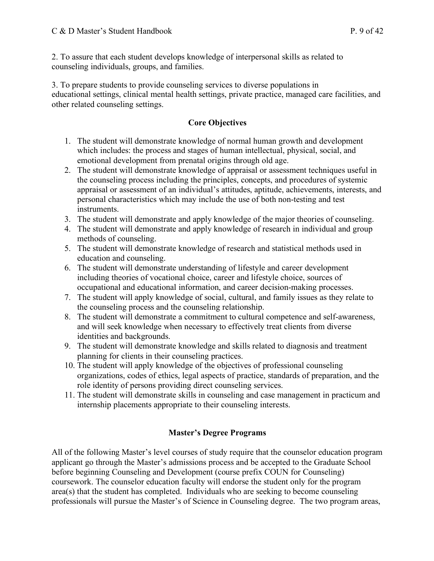2. To assure that each student develops knowledge of interpersonal skills as related to counseling individuals, groups, and families.

 3. To prepare students to provide counseling services to diverse populations in educational settings, clinical mental health settings, private practice, managed care facilities, and other related counseling settings.

#### **Core Objectives**

- 1. The student will demonstrate knowledge of normal human growth and development which includes: the process and stages of human intellectual, physical, social, and emotional development from prenatal origins through old age.
- 2. The student will demonstrate knowledge of appraisal or assessment techniques useful in the counseling process including the principles, concepts, and procedures of systemic appraisal or assessment of an individual's attitudes, aptitude, achievements, interests, and personal characteristics which may include the use of both non-testing and test instruments.
- 3. The student will demonstrate and apply knowledge of the major theories of counseling.
- 4. The student will demonstrate and apply knowledge of research in individual and group methods of counseling.
- 5. The student will demonstrate knowledge of research and statistical methods used in education and counseling.
- 6. The student will demonstrate understanding of lifestyle and career development including theories of vocational choice, career and lifestyle choice, sources of occupational and educational information, and career decision-making processes.
- 7. The student will apply knowledge of social, cultural, and family issues as they relate to the counseling process and the counseling relationship.
- 8. The student will demonstrate a commitment to cultural competence and self-awareness, and will seek knowledge when necessary to effectively treat clients from diverse identities and backgrounds.
- identities and backgrounds. 9. The student will demonstrate knowledge and skills related to diagnosis and treatment planning for clients in their counseling practices.
- 10. The student will apply knowledge of the objectives of professional counseling organizations, codes of ethics, legal aspects of practice, standards of preparation, and the role identity of persons providing direct counseling services.
- 11. The student will demonstrate skills in counseling and case management in practicum and internship placements appropriate to their counseling interests.

#### **Master's Degree Programs**

 All of the following Master's level courses of study require that the counselor education program applicant go through the Master's admissions process and be accepted to the Graduate School before beginning Counseling and Development (course prefix COUN for Counseling) coursework. The counselor education faculty will endorse the student only for the program area(s) that the student has completed. Individuals who are seeking to become counseling professionals will pursue the Master's of Science in Counseling degree. The two program areas,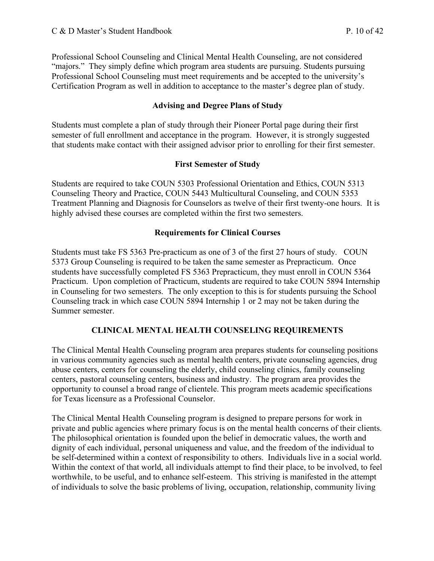Professional School Counseling and Clinical Mental Health Counseling, are not considered "majors." They simply define which program area students are pursuing. Students pursuing Professional School Counseling must meet requirements and be accepted to the university's Certification Program as well in addition to acceptance to the master's degree plan of study.

#### **Advising and Degree Plans of Study**

 Students must complete a plan of study through their Pioneer Portal page during their first semester of full enrollment and acceptance in the program. However, it is strongly suggested that students make contact with their assigned advisor prior to enrolling for their first semester.

#### **First Semester of Study**

 Students are required to take COUN 5303 Professional Orientation and Ethics, COUN 5313 Counseling Theory and Practice, COUN 5443 Multicultural Counseling, and COUN 5353 Treatment Planning and Diagnosis for Counselors as twelve of their first twenty-one hours. It is highly advised these courses are completed within the first two semesters.

#### **Requirements for Clinical Courses**

 Students must take FS 5363 Pre-practicum as one of 3 of the first 27 hours of study. COUN 5373 Group Counseling is required to be taken the same semester as Prepracticum. Once students have successfully completed FS 5363 Prepracticum, they must enroll in COUN 5364 Practicum. Upon completion of Practicum, students are required to take COUN 5894 Internship in Counseling for two semesters. The only exception to this is for students pursuing the School Counseling track in which case COUN 5894 Internship 1 or 2 may not be taken during the Summer semester.

#### **CLINICAL MENTAL HEALTH COUNSELING REQUIREMENTS**

 The Clinical Mental Health Counseling program area prepares students for counseling positions in various community agencies such as mental health centers, private counseling agencies, drug abuse centers, centers for counseling the elderly, child counseling clinics, family counseling centers, pastoral counseling centers, business and industry. The program area provides the opportunity to counsel a broad range of clientele. This program meets academic specifications for Texas licensure as a Professional Counselor.

 The Clinical Mental Health Counseling program is designed to prepare persons for work in private and public agencies where primary focus is on the mental health concerns of their clients. The philosophical orientation is founded upon the belief in democratic values, the worth and dignity of each individual, personal uniqueness and value, and the freedom of the individual to be self-determined within a context of responsibility to others. Individuals live in a social world. Within the context of that world, all individuals attempt to find their place, to be involved, to feel worthwhile, to be useful, and to enhance self-esteem. This striving is manifested in the attempt of individuals to solve the basic problems of living, occupation, relationship, community living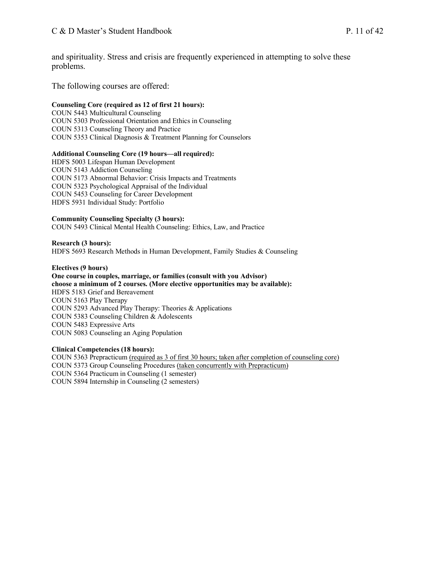and spirituality. Stress and crisis are frequently experienced in attempting to solve these problems.

The following courses are offered:

#### **Counseling Core (required as 12 of first 21 hours):**

 COUN 5443 Multicultural Counseling COUN 5303 Professional Orientation and Ethics in Counseling COUN 5313 Counseling Theory and Practice COUN 5353 Clinical Diagnosis & Treatment Planning for Counselors

#### **Additional Counseling Core (19 hours—all required):**

 COUN 5143 Addiction Counseling COUN 5173 Abnormal Behavior: Crisis Impacts and Treatments COUN 5323 Psychological Appraisal of the Individual COUN 5453 Counseling for Career Development HDFS 5931 Individual Study: Portfolio HDFS 5003 Lifespan Human Development

#### **Community Counseling Specialty (3 hours):**

COUN 5493 Clinical Mental Health Counseling: Ethics, Law, and Practice

#### **Research (3 hours):**

HDFS 5693 Research Methods in Human Development, Family Studies & Counseling

#### **Electives (9 hours)**

 **One course in couples, marriage, or families (consult with you Advisor) choose a minimum of 2 courses. (More elective opportunities may be available):**  HDFS 5183 Grief and Bereavement COUN 5163 Play Therapy COUN 5293 Advanced Play Therapy: Theories & Applications COUN 5383 Counseling Children & Adolescents COUN 5483 Expressive Arts COUN 5083 Counseling an Aging Population

#### **Clinical Competencies (18 hours):**

 COUN 5363 Prepracticum (required as 3 of first 30 hours; taken after completion of counseling core) COUN 5373 Group Counseling Procedures (taken concurrently with Prepracticum) COUN 5364 Practicum in Counseling (1 semester) COUN 5894 Internship in Counseling (2 semesters)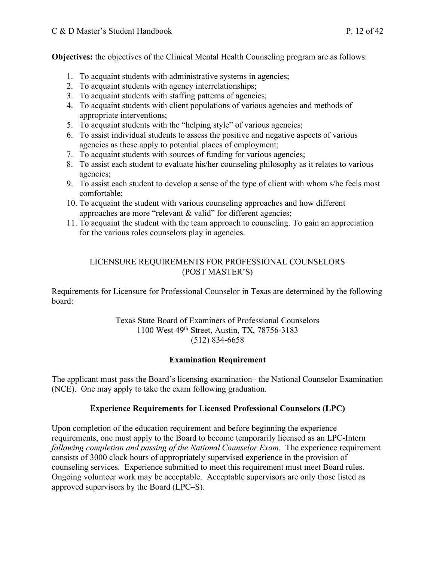**Objectives:** the objectives of the Clinical Mental Health Counseling program are as follows:

- 1. To acquaint students with administrative systems in agencies;
- 2. To acquaint students with agency interrelationships;
- 3. To acquaint students with staffing patterns of agencies;
- 4. To acquaint students with client populations of various agencies and methods of appropriate interventions;
- 5. To acquaint students with the "helping style" of various agencies;
- 6. To assist individual students to assess the positive and negative aspects of various agencies as these apply to potential places of employment;
- 7. To acquaint students with sources of funding for various agencies;
- 8. To assist each student to evaluate his/her counseling philosophy as it relates to various agencies;
- 9. To assist each student to develop a sense of the type of client with whom s/he feels most comfortable;
- 10. To acquaint the student with various counseling approaches and how different approaches are more "relevant & valid" for different agencies;
- 11. To acquaint the student with the team approach to counseling. To gain an appreciation for the various roles counselors play in agencies.

#### LICENSURE REQUIREMENTS FOR PROFESSIONAL COUNSELORS (POST MASTER'S)

 Requirements for Licensure for Professional Counselor in Texas are determined by the following board:

> Texas State Board of Examiners of Professional Counselors 1100 West 49th Street, Austin, TX, 78756-3183 (512) 834-6658

#### **Examination Requirement**

 The applicant must pass the Board's licensing examination– the National Counselor Examination (NCE). One may apply to take the exam following graduation.

#### **Experience Requirements for Licensed Professional Counselors (LPC)**

 Upon completion of the education requirement and before beginning the experience requirements, one must apply to the Board to become temporarily licensed as an LPC-Intern following completion and passing of the National Counselor Exam. The experience requirement consists of 3000 clock hours of appropriately supervised experience in the provision of counseling services. Experience submitted to meet this requirement must meet Board rules. Ongoing volunteer work may be acceptable. Acceptable supervisors are only those listed as approved supervisors by the Board (LPC–S).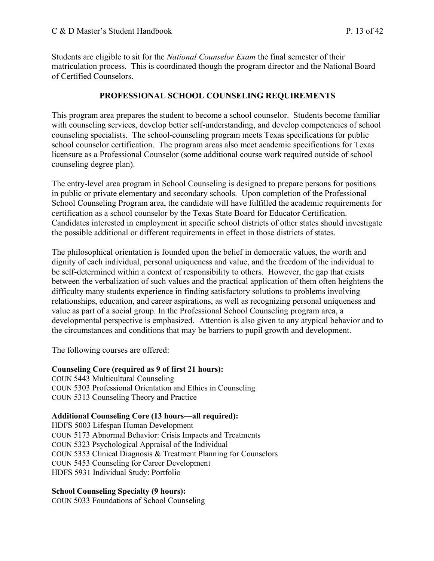Students are eligible to sit for the *National Counselor Exam* the final semester of their matriculation process. This is coordinated though the program director and the National Board of Certified Counselors.

#### **PROFESSIONAL SCHOOL COUNSELING REQUIREMENTS**

 This program area prepares the student to become a school counselor. Students become familiar with counseling services, develop better self-understanding, and develop competencies of school counseling specialists. The school-counseling program meets Texas specifications for public school counselor certification. The program areas also meet academic specifications for Texas licensure as a Professional Counselor (some additional course work required outside of school counseling degree plan).

 The entry-level area program in School Counseling is designed to prepare persons for positions in public or private elementary and secondary schools. Upon completion of the Professional School Counseling Program area, the candidate will have fulfilled the academic requirements for certification as a school counselor by the Texas State Board for Educator Certification. Candidates interested in employment in specific school districts of other states should investigate the possible additional or different requirements in effect in those districts of states.

 The philosophical orientation is founded upon the belief in democratic values, the worth and dignity of each individual, personal uniqueness and value, and the freedom of the individual to be self-determined within a context of responsibility to others. However, the gap that exists between the verbalization of such values and the practical application of them often heightens the difficulty many students experience in finding satisfactory solutions to problems involving relationships, education, and career aspirations, as well as recognizing personal uniqueness and value as part of a social group. In the Professional School Counseling program area, a developmental perspective is emphasized. Attention is also given to any atypical behavior and to the circumstances and conditions that may be barriers to pupil growth and development.

The following courses are offered:

#### **Counseling Core (required as 9 of first 21 hours):**

 COUN 5443 Multicultural Counseling COUN 5303 Professional Orientation and Ethics in Counseling COUN 5313 Counseling Theory and Practice

#### **Additional Counseling Core (13 hours—all required):**

HDFS 5003 Lifespan Human Development COUN 5173 Abnormal Behavior: Crisis Impacts and Treatments COUN 5323 Psychological Appraisal of the Individual COUN 5353 Clinical Diagnosis & Treatment Planning for Counselors COUN 5453 Counseling for Career Development HDFS 5931 Individual Study: Portfolio

#### **School Counseling Specialty (9 hours):**

COUN 5033 Foundations of School Counseling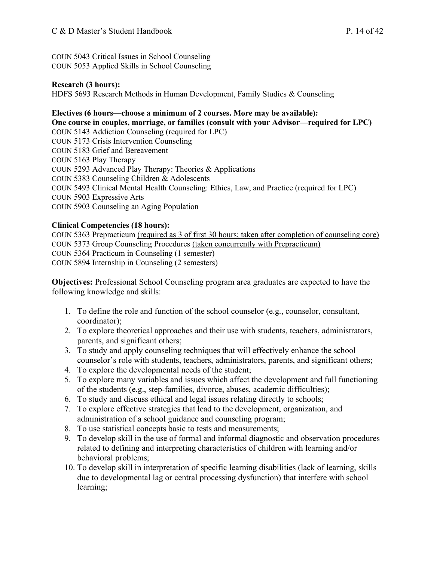COUN 5043 Critical Issues in School Counseling COUN 5053 Applied Skills in School Counseling

#### **Research (3 hours):**

HDFS 5693 Research Methods in Human Development, Family Studies & Counseling

#### **Electives (6 hours—choose a minimum of 2 courses. More may be available):**

COUN 5383 Counseling Children & Adolescents **One course in couples, marriage, or families (consult with your Advisor—required for LPC)**  COUN 5143 Addiction Counseling (required for LPC) COUN 5173 Crisis Intervention Counseling COUN 5183 Grief and Bereavement COUN 5163 Play Therapy COUN 5293 Advanced Play Therapy: Theories & Applications COUN 5493 Clinical Mental Health Counseling: Ethics, Law, and Practice (required for LPC) COUN 5903 Expressive Arts COUN 5903 Counseling an Aging Population

#### **Clinical Competencies (18 hours):**

COUN 5363 Prepracticum (required as 3 of first 30 hours; taken after completion of counseling core) COUN 5373 Group Counseling Procedures (taken concurrently with Prepracticum) COUN 5364 Practicum in Counseling (1 semester) COUN 5894 Internship in Counseling (2 semesters)

 **Objectives:** Professional School Counseling program area graduates are expected to have the following knowledge and skills:

- 1. To define the role and function of the school counselor (e.g., counselor, consultant, coordinator);
- 2. To explore theoretical approaches and their use with students, teachers, administrators, parents, and significant others;
- 3. To study and apply counseling techniques that will effectively enhance the school counselor's role with students, teachers, administrators, parents, and significant others;
- 4. To explore the developmental needs of the student;
- 5. To explore many variables and issues which affect the development and full functioning of the students (e.g., step-families, divorce, abuses, academic difficulties);
- 6. To study and discuss ethical and legal issues relating directly to schools;
- 7. To explore effective strategies that lead to the development, organization, and administration of a school guidance and counseling program;
- 8. To use statistical concepts basic to tests and measurements;
- 9. To develop skill in the use of formal and informal diagnostic and observation procedures related to defining and interpreting characteristics of children with learning and/or behavioral problems;
- 10. To develop skill in interpretation of specific learning disabilities (lack of learning, skills due to developmental lag or central processing dysfunction) that interfere with school learning;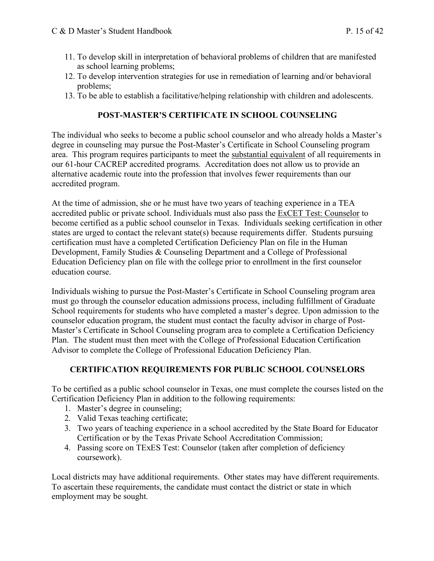- 11. To develop skill in interpretation of behavioral problems of children that are manifested as school learning problems;
- 12. To develop intervention strategies for use in remediation of learning and/or behavioral problems;
- problems; 13. To be able to establish a facilitative/helping relationship with children and adolescents.

#### **POST-MASTER'S CERTIFICATE IN SCHOOL COUNSELING**

 The individual who seeks to become a public school counselor and who already holds a Master's degree in counseling may pursue the Post-Master's Certificate in School Counseling program area. This program requires participants to meet the substantial equivalent of all requirements in our 61-hour CACREP accredited programs. Accreditation does not allow us to provide an alternative academic route into the profession that involves fewer requirements than our accredited program.

 At the time of admission, she or he must have two years of teaching experience in a TEA accredited public or private school. Individuals must also pass the **ExCET Test: Counselor** to become certified as a public school counselor in Texas. Individuals seeking certification in other states are urged to contact the relevant state(s) because requirements differ. Students pursuing certification must have a completed Certification Deficiency Plan on file in the Human Development, Family Studies & Counseling Department and a College of Professional Education Deficiency plan on file with the college prior to enrollment in the first counselor education course

education course.<br>Individuals wishing to pursue the Post-Master's Certificate in School Counseling program area must go through the counselor education admissions process, including fulfillment of Graduate School requirements for students who have completed a master's degree. Upon admission to the counselor education program, the student must contact the faculty advisor in charge of Post- Master's Certificate in School Counseling program area to complete a Certification Deficiency Plan. The student must then meet with the College of Professional Education Certification Advisor to complete the College of Professional Education Deficiency Plan.

#### **CERTIFICATION REQUIREMENTS FOR PUBLIC SCHOOL COUNSELORS**

 To be certified as a public school counselor in Texas, one must complete the courses listed on the Certification Deficiency Plan in addition to the following requirements:

- 1. Master's degree in counseling;
- 2. Valid Texas teaching certificate;
- 3. Two years of teaching experience in a school accredited by the State Board for Educator Certification or by the Texas Private School Accreditation Commission;
- 4. Passing score on TExES Test: Counselor (taken after completion of deficiency coursework).

 Local districts may have additional requirements. Other states may have different requirements. To ascertain these requirements, the candidate must contact the district or state in which employment may be sought.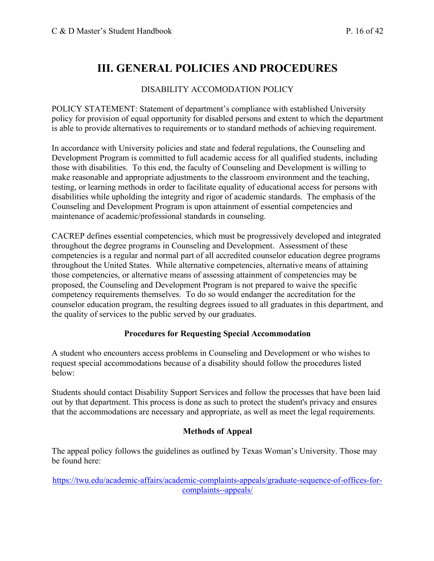## **III. GENERAL POLICIES AND PROCEDURES**

#### DISABILITY ACCOMODATION POLICY

 POLICY STATEMENT: Statement of department's compliance with established University policy for provision of equal opportunity for disabled persons and extent to which the department is able to provide alternatives to requirements or to standard methods of achieving requirement.

 In accordance with University policies and state and federal regulations, the Counseling and Development Program is committed to full academic access for all qualified students, including those with disabilities. To this end, the faculty of Counseling and Development is willing to make reasonable and appropriate adjustments to the classroom environment and the teaching, testing, or learning methods in order to facilitate equality of educational access for persons with disabilities while upholding the integrity and rigor of academic standards. The emphasis of the Counseling and Development Program is upon attainment of essential competencies and maintenance of academic/professional standards in counseling.

 CACREP defines essential competencies, which must be progressively developed and integrated throughout the degree programs in Counseling and Development. Assessment of these competencies is a regular and normal part of all accredited counselor education degree programs throughout the United States. While alternative competencies, alternative means of attaining those competencies, or alternative means of assessing attainment of competencies may be proposed, the Counseling and Development Program is not prepared to waive the specific competency requirements themselves. To do so would endanger the accreditation for the counselor education program, the resulting degrees issued to all graduates in this department, and the quality of services to the public served by our graduates.

#### **Procedures for Requesting Special Accommodation**

 A student who encounters access problems in Counseling and Development or who wishes to request special accommodations because of a disability should follow the procedures listed below:

 Students should contact Disability Support Services and follow the processes that have been laid out by that department. This process is done as such to protect the student's privacy and ensures that the accommodations are necessary and appropriate, as well as meet the legal requirements.

#### **Methods of Appeal**

 The appeal policy follows the guidelines as outlined by Texas Woman's University. Those may be found here:

<https://twu.edu/academic-affairs/academic-complaints-appeals/graduate-sequence-of-offices-for>complaints--appeals/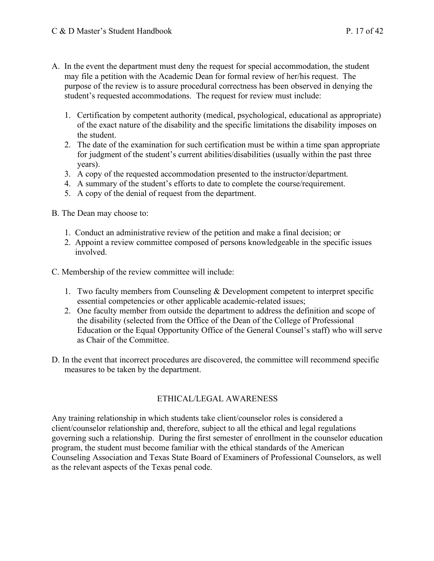- A. In the event the department must deny the request for special accommodation, the student may file a petition with the Academic Dean for formal review of her/his request. The
	- purpose of the review is to assure procedural correctness has been observed in denying the student's requested accommodations. The request for review must include:
	- 1. Certification by competent authority (medical, psychological, educational as appropriate) of the exact nature of the disability and the specific limitations the disability imposes on the student.
	- 2. The date of the examination for such certification must be within a time span appropriate for judgment of the student's current abilities/disabilities (usually within the past three years).
	- 3. A copy of the requested accommodation presented to the instructor/department.
	- 4. A summary of the student's efforts to date to complete the course/requirement.
	- 5. A copy of the denial of request from the department.
- B. The Dean may choose to:
	- 1. Conduct an administrative review of the petition and make a final decision; or
	- 2. Appoint a review committee composed of persons knowledgeable in the specific issues involved.
- C. Membership of the review committee will include:
	- 1. Two faculty members from Counseling & Development competent to interpret specific essential competencies or other applicable academic-related issues;
	- 2. One faculty member from outside the department to address the definition and scope of the disability (selected from the Office of the Dean of the College of Professional Education or the Equal Opportunity Office of the General Counsel's staff) who will serve as Chair of the Committee.
- D. In the event that incorrect procedures are discovered, the committee will recommend specific measures to be taken by the department.

#### ETHICAL/LEGAL AWARENESS

 Any training relationship in which students take client/counselor roles is considered a client/counselor relationship and, therefore, subject to all the ethical and legal regulations governing such a relationship. During the first semester of enrollment in the counselor education program, the student must become familiar with the ethical standards of the American Counseling Association and Texas State Board of Examiners of Professional Counselors, as well as the relevant aspects of the Texas penal code.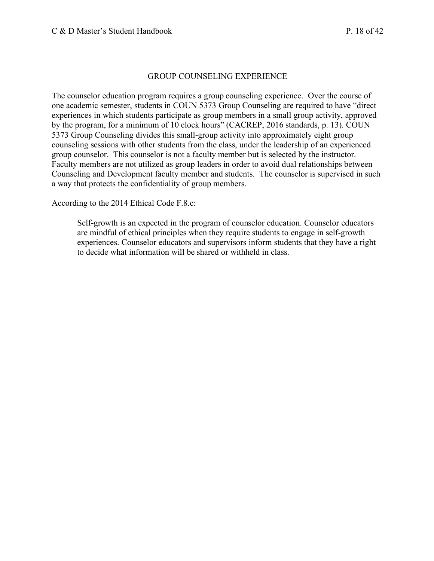#### GROUP COUNSELING EXPERIENCE

 The counselor education program requires a group counseling experience. Over the course of one academic semester, students in COUN 5373 Group Counseling are required to have "direct experiences in which students participate as group members in a small group activity, approved by the program, for a minimum of 10 clock hours" (CACREP, 2016 standards, p. 13). COUN 5373 Group Counseling divides this small-group activity into approximately eight group counseling sessions with other students from the class, under the leadership of an experienced group counselor. This counselor is not a faculty member but is selected by the instructor. Faculty members are not utilized as group leaders in order to avoid dual relationships between Counseling and Development faculty member and students. The counselor is supervised in such a way that protects the confidentiality of group members.

According to the 2014 Ethical Code F.8.c:

 Self-growth is an expected in the program of counselor education. Counselor educators are mindful of ethical principles when they require students to engage in self-growth experiences. Counselor educators and supervisors inform students that they have a right to decide what information will be shared or withheld in class.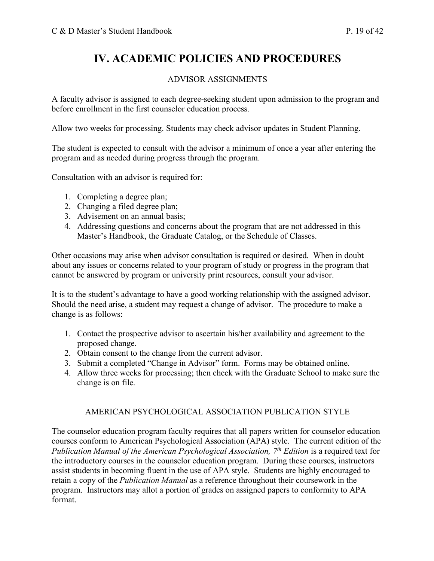## **IV. ACADEMIC POLICIES AND PROCEDURES**

#### ADVISOR ASSIGNMENTS

 A faculty advisor is assigned to each degree-seeking student upon admission to the program and before enrollment in the first counselor education process.

Allow two weeks for processing. Students may check advisor updates in Student Planning.

 The student is expected to consult with the advisor a minimum of once a year after entering the program and as needed during progress through the program.

Consultation with an advisor is required for:

- 1. Completing a degree plan;
- 2. Changing a filed degree plan;
- 3. Advisement on an annual basis;
- 4. Addressing questions and concerns about the program that are not addressed in this Master's Handbook, the Graduate Catalog, or the Schedule of Classes.

 Other occasions may arise when advisor consultation is required or desired. When in doubt about any issues or concerns related to your program of study or progress in the program that cannot be answered by program or university print resources, consult your advisor.

 It is to the student's advantage to have a good working relationship with the assigned advisor. Should the need arise, a student may request a change of advisor. The procedure to make a change is as follows:

- 1. Contact the prospective advisor to ascertain his/her availability and agreement to the proposed change.
- 2. Obtain consent to the change from the current advisor.
- 3. Submit a completed "Change in Advisor" form. Forms may be obtained online.
- 4. Allow three weeks for processing; then check with the Graduate School to make sure the change is on file.

#### AMERICAN PSYCHOLOGICAL ASSOCIATION PUBLICATION STYLE

 The counselor education program faculty requires that all papers written for counselor education courses conform to American Psychological Association (APA) style. The current edition of the *Publication Manual of the American Psychological Association, 7<sup>th</sup> Edition is a required text for*  the introductory courses in the counselor education program. During these courses, instructors assist students in becoming fluent in the use of APA style. Students are highly encouraged to retain a copy of the *Publication Manual* as a reference throughout their coursework in the program. Instructors may allot a portion of grades on assigned papers to conformity to APA format.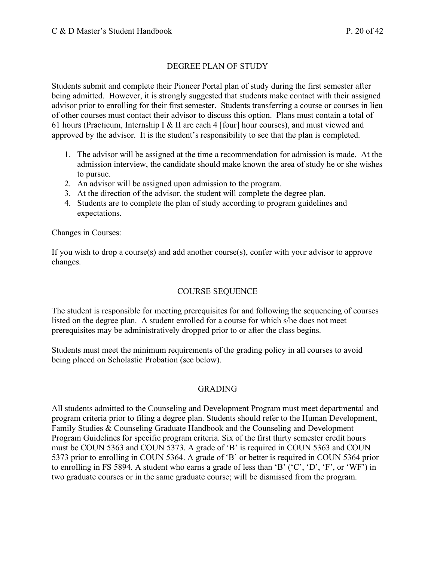#### DEGREE PLAN OF STUDY

 Students submit and complete their Pioneer Portal plan of study during the first semester after being admitted. However, it is strongly suggested that students make contact with their assigned advisor prior to enrolling for their first semester. Students transferring a course or courses in lieu of other courses must contact their advisor to discuss this option. Plans must contain a total of 61 hours (Practicum, Internship I & II are each 4 [four] hour courses), and must viewed and approved by the advisor. It is the student's responsibility to see that the plan is completed.

- 1. The advisor will be assigned at the time a recommendation for admission is made. At the admission interview, the candidate should make known the area of study he or she wishes to pursue.
- 2. An advisor will be assigned upon admission to the program.
- 3. At the direction of the advisor, the student will complete the degree plan.
- 4. Students are to complete the plan of study according to program guidelines and expectations.

Changes in Courses:

 If you wish to drop a course(s) and add another course(s), confer with your advisor to approve changes. changes.<br>
COURSE SEQUENCE

 The student is responsible for meeting prerequisites for and following the sequencing of courses listed on the degree plan. A student enrolled for a course for which s/he does not meet prerequisites may be administratively dropped prior to or after the class begins.

 Students must meet the minimum requirements of the grading policy in all courses to avoid being placed on Scholastic Probation (see below).

#### GRADING

 All students admitted to the Counseling and Development Program must meet departmental and program criteria prior to filing a degree plan. Students should refer to the Human Development, Family Studies & Counseling Graduate Handbook and the Counseling and Development Program Guidelines for specific program criteria. Six of the first thirty semester credit hours must be COUN 5363 and COUN 5373. A grade of 'B' is required in COUN 5363 and COUN 5373 prior to enrolling in COUN 5364. A grade of 'B' or better is required in COUN 5364 prior to enrolling in FS 5894. A student who earns a grade of less than 'B' ('C', 'D', 'F', or 'WF') in two graduate courses or in the same graduate course; will be dismissed from the program.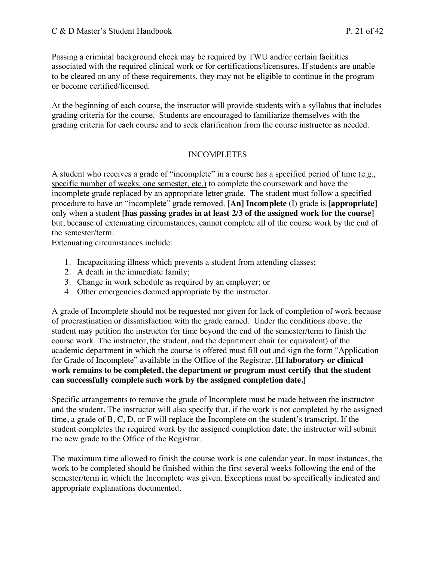Passing a criminal background check may be required by TWU and/or certain facilities associated with the required clinical work or for certifications/licensures. If students are unable to be cleared on any of these requirements, they may not be eligible to continue in the program or become certified/licensed.

 At the beginning of each course, the instructor will provide students with a syllabus that includes grading criteria for the course. Students are encouraged to familiarize themselves with the grading criteria for each course and to seek clarification from the course instructor as needed.

#### INCOMPLETES

A student who receives a grade of "incomplete" in a course has a specified period of time (e.g., specific number of weeks, one semester, etc.) to complete the coursework and have the incomplete grade replaced by an appropriate letter grade. The student must follow a specified procedure to have an "incomplete" grade removed. **[An] Incomplete** (I) grade is **[appropriate]**  only when a student **[has passing grades in at least 2/3 of the assigned work for the course]** but, because of extenuating circumstances, cannot complete all of the course work by the end of the semester/term.

Extenuating circumstances include:

- 1. Incapacitating illness which prevents a student from attending classes;
- 2. A death in the immediate family;
- 3. Change in work schedule as required by an employer; or
- 4. Other emergencies deemed appropriate by the instructor.

 A grade of Incomplete should not be requested nor given for lack of completion of work because of procrastination or dissatisfaction with the grade earned. Under the conditions above, the student may petition the instructor for time beyond the end of the semester/term to finish the course work. The instructor, the student, and the department chair (or equivalent) of the academic department in which the course is offered must fill out and sign the form "Application for Grade of Incomplete" available in the Office of the Registrar. **[If laboratory or clinical work remains to be completed, the department or program must certify that the student can successfully complete such work by the assigned completion date.]** 

 Specific arrangements to remove the grade of Incomplete must be made between the instructor and the student. The instructor will also specify that, if the work is not completed by the assigned time, a grade of B, C, D, or F will replace the Incomplete on the student's transcript. If the student completes the required work by the assigned completion date, the instructor will submit the new grade to the Office of the Registrar.

 The maximum time allowed to finish the course work is one calendar year. In most instances, the work to be completed should be finished within the first several weeks following the end of the semester/term in which the Incomplete was given. Exceptions must be specifically indicated and appropriate explanations documented.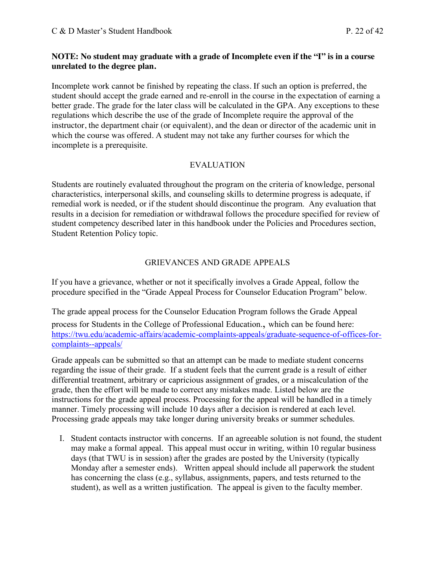#### **NOTE: No student may graduate with a grade of Incomplete even if the "I" is in a course unrelated to the degree plan.**

 Incomplete work cannot be finished by repeating the class. If such an option is preferred, the student should accept the grade earned and re-enroll in the course in the expectation of earning a better grade. The grade for the later class will be calculated in the GPA. Any exceptions to these regulations which describe the use of the grade of Incomplete require the approval of the instructor, the department chair (or equivalent), and the dean or director of the academic unit in which the course was offered. A student may not take any further courses for which the incomplete is a prerequisite.

#### EVALUATION

 Students are routinely evaluated throughout the program on the criteria of knowledge, personal characteristics, interpersonal skills, and counseling skills to determine progress is adequate, if remedial work is needed, or if the student should discontinue the program. Any evaluation that results in a decision for remediation or withdrawal follows the procedure specified for review of student competency described later in this handbook under the Policies and Procedures section, Student Retention Policy topic.

#### GRIEVANCES AND GRADE APPEALS

 If you have a grievance, whether or not it specifically involves a Grade Appeal, follow the procedure specified in the "Grade Appeal Process for Counselor Education Program" below.

 The grade appeal process for the Counselor Education Program follows the Grade Appeal process for Students in the College of Professional Education., which can be found here: <https://twu.edu/academic-affairs/academic-complaints-appeals/graduate-sequence-of-offices-for>complaints--appeals/

 Grade appeals can be submitted so that an attempt can be made to mediate student concerns regarding the issue of their grade. If a student feels that the current grade is a result of either differential treatment, arbitrary or capricious assignment of grades, or a miscalculation of the grade, then the effort will be made to correct any mistakes made. Listed below are the instructions for the grade appeal process. Processing for the appeal will be handled in a timely manner. Timely processing will include 10 days after a decision is rendered at each level. Processing grade appeals may take longer during university breaks or summer schedules.

 I. Student contacts instructor with concerns. If an agreeable solution is not found, the student may make a formal appeal. This appeal must occur in writing, within 10 regular business days (that TWU is in session) after the grades are posted by the University (typically Monday after a semester ends). Written appeal should include all paperwork the student has concerning the class (e.g., syllabus, assignments, papers, and tests returned to the student), as well as a written justification. The appeal is given to the faculty member.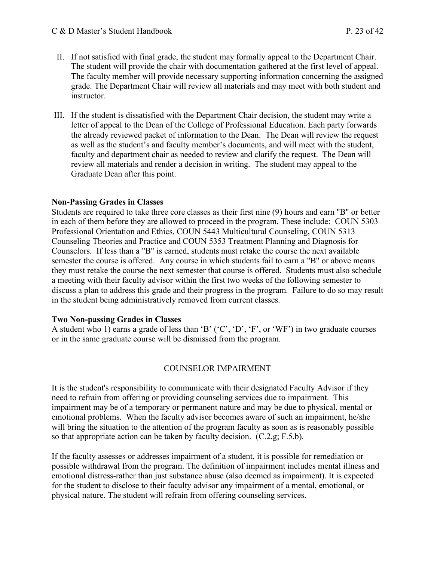- II. If not satisfied with final grade, the student may formally appeal to the Department Chair. The student will provide the chair with documentation gathered at the first level of appeal. The faculty member will provide necessary supporting information concerning the assigned grade. The Department Chair will review all materials and may meet with both student and instructor.
- instructor.<br>III. If the student is dissatisfied with the Department Chair decision, the student may write a letter of appeal to the Dean of the College of Professional Education. Each party forwards the already reviewed packet of information to the Dean. The Dean will review the request as well as the student's and faculty member's documents, and will meet with the student, faculty and department chair as needed to review and clarify the request. The Dean will review all materials and render a decision in writing. The student may appeal to the Graduate Dean after this point.

#### **Non-Passing Grades in Classes**

 Students are required to take three core classes as their first nine (9) hours and earn "B" or better in each of them before they are allowed to proceed in the program. These include: COUN 5303 Professional Orientation and Ethics, COUN 5443 Multicultural Counseling, COUN 5313 Counseling Theories and Practice and COUN 5353 Treatment Planning and Diagnosis for Counselors. If less than a "B" is earned, students must retake the course the next available semester the course is offered. Any course in which students fail to earn a "B" or above means they must retake the course the next semester that course is offered. Students must also schedule a meeting with their faculty advisor within the first two weeks of the following semester to discuss a plan to address this grade and their progress in the program. Failure to do so may result in the student being administratively removed from current classes.

#### **Two Non-passing Grades in Classes**

A student who 1) earns a grade of less than 'B'  $({\rm 'C', 'D', 'F', or 'WF'})$  in two graduate courses or in the same graduate course will be dismissed from the program.

#### COUNSELOR IMPAIRMENT

 It is the student's responsibility to communicate with their designated Faculty Advisor if they need to refrain from offering or providing counseling services due to impairment. This impairment may be of a temporary or permanent nature and may be due to physical, mental or emotional problems. When the faculty advisor becomes aware of such an impairment, he/she will bring the situation to the attention of the program faculty as soon as is reasonably possible so that appropriate action can be taken by faculty decision. (C.2.g; F.5.b).

 If the faculty assesses or addresses impairment of a student, it is possible for remediation or possible withdrawal from the program. The definition of impairment includes mental illness and emotional distress-rather than just substance abuse (also deemed as impairment). It is expected for the student to disclose to their faculty advisor any impairment of a mental, emotional, or physical nature. The student will refrain from offering counseling services.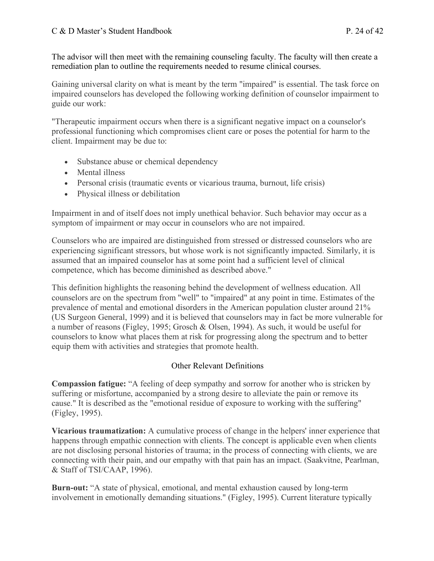The advisor will then meet with the remaining counseling faculty. The faculty will then create a remediation plan to outline the requirements needed to resume clinical courses.

 Gaining universal clarity on what is meant by the term "impaired" is essential. The task force on impaired counselors has developed the following working definition of counselor impairment to guide our work:

 "Therapeutic impairment occurs when there is a significant negative impact on a counselor's professional functioning which compromises client care or poses the potential for harm to the client. Impairment may be due to:

- Substance abuse or chemical dependency
- Mental illness
- Personal crisis (traumatic events or vicarious trauma, burnout, life crisis)
- Physical illness or debilitation

 Impairment in and of itself does not imply unethical behavior. Such behavior may occur as a symptom of impairment or may occur in counselors who are not impaired.

 Counselors who are impaired are distinguished from stressed or distressed counselors who are experiencing significant stressors, but whose work is not significantly impacted. Similarly, it is assumed that an impaired counselor has at some point had a sufficient level of clinical competence, which has become diminished as described above."

 This definition highlights the reasoning behind the development of wellness education. All counselors are on the spectrum from "well" to "impaired" at any point in time. Estimates of the prevalence of mental and emotional disorders in the American population cluster around 21% (US Surgeon General, 1999) and it is believed that counselors may in fact be more vulnerable for a number of reasons (Figley, 1995; Grosch & Olsen, 1994). As such, it would be useful for counselors to know what places them at risk for progressing along the spectrum and to better equip them with activities and strategies that promote health.

#### Other Relevant Definitions

 **Compassion fatigue:** "A feeling of deep sympathy and sorrow for another who is stricken by suffering or misfortune, accompanied by a strong desire to alleviate the pain or remove its cause." It is described as the "emotional residue of exposure to working with the suffering" (Figley, 1995).

 **Vicarious traumatization:** A cumulative process of change in the helpers' inner experience that happens through empathic connection with clients. The concept is applicable even when clients are not disclosing personal histories of trauma; in the process of connecting with clients, we are connecting with their pain, and our empathy with that pain has an impact. (Saakvitne, Pearlman, & Staff of TSI/CAAP, 1996).

 **Burn-out:** "A state of physical, emotional, and mental exhaustion caused by long-term involvement in emotionally demanding situations." (Figley, 1995). Current literature typically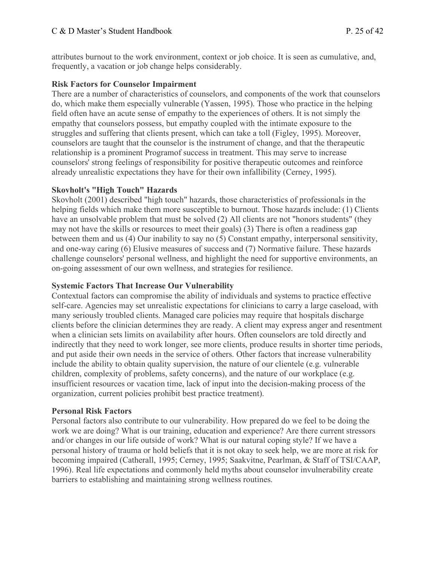attributes burnout to the work environment, context or job choice. It is seen as cumulative, and, frequently, a vacation or job change helps considerably.

#### **Risk Factors for Counselor Impairment**

 There are a number of characteristics of counselors, and components of the work that counselors do, which make them especially vulnerable (Yassen, 1995). Those who practice in the helping field often have an acute sense of empathy to the experiences of others. It is not simply the empathy that counselors possess, but empathy coupled with the intimate exposure to the struggles and suffering that clients present, which can take a toll (Figley, 1995). Moreover, counselors are taught that the counselor is the instrument of change, and that the therapeutic relationship is a prominent Programof success in treatment. This may serve to increase counselors' strong feelings of responsibility for positive therapeutic outcomes and reinforce already unrealistic expectations they have for their own infallibility (Cerney, 1995).

#### **Skovholt's "High Touch" Hazards**

 Skovholt (2001) described "high touch" hazards, those characteristics of professionals in the helping fields which make them more susceptible to burnout. Those hazards include: (1) Clients have an unsolvable problem that must be solved (2) All clients are not "honors students" (they may not have the skills or resources to meet their goals) (3) There is often a readiness gap between them and us (4) Our inability to say no (5) Constant empathy, interpersonal sensitivity, and one-way caring (6) Elusive measures of success and (7) Normative failure. These hazards challenge counselors' personal wellness, and highlight the need for supportive environments, an on-going assessment of our own wellness, and strategies for resilience.

#### **Systemic Factors That Increase Our Vulnerability**

 Contextual factors can compromise the ability of individuals and systems to practice effective self-care. Agencies may set unrealistic expectations for clinicians to carry a large caseload, with many seriously troubled clients. Managed care policies may require that hospitals discharge clients before the clinician determines they are ready. A client may express anger and resentment when a clinician sets limits on availability after hours. Often counselors are told directly and indirectly that they need to work longer, see more clients, produce results in shorter time periods, and put aside their own needs in the service of others. Other factors that increase vulnerability include the ability to obtain quality supervision, the nature of our clientele (e.g. vulnerable children, complexity of problems, safety concerns), and the nature of our workplace (e.g. insufficient resources or vacation time, lack of input into the decision-making process of the organization, current policies prohibit best practice treatment).

#### **Personal Risk Factors**

 Personal factors also contribute to our vulnerability. How prepared do we feel to be doing the work we are doing? What is our training, education and experience? Are there current stressors and/or changes in our life outside of work? What is our natural coping style? If we have a personal history of trauma or hold beliefs that it is not okay to seek help, we are more at risk for becoming impaired (Catherall, 1995; Cerney, 1995; Saakvitne, Pearlman, & Staff of TSI/CAAP, 1996). Real life expectations and commonly held myths about counselor invulnerability create barriers to establishing and maintaining strong wellness routines.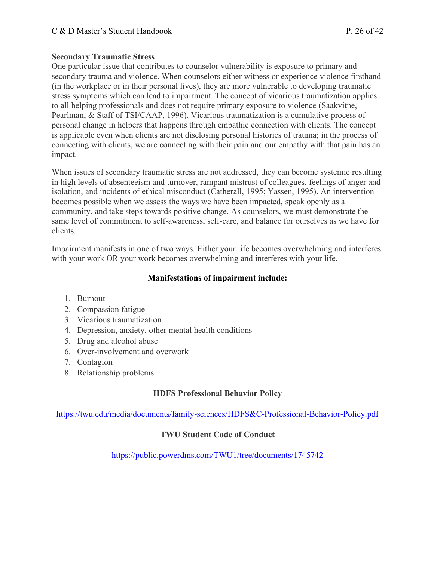#### **Secondary Traumatic Stress**

 One particular issue that contributes to counselor vulnerability is exposure to primary and secondary trauma and violence. When counselors either witness or experience violence firsthand (in the workplace or in their personal lives), they are more vulnerable to developing traumatic stress symptoms which can lead to impairment. The concept of vicarious traumatization applies to all helping professionals and does not require primary exposure to violence (Saakvitne, Pearlman, & Staff of TSI/CAAP, 1996). Vicarious traumatization is a cumulative process of personal change in helpers that happens through empathic connection with clients. The concept is applicable even when clients are not disclosing personal histories of trauma; in the process of connecting with clients, we are connecting with their pain and our empathy with that pain has an impact.

 When issues of secondary traumatic stress are not addressed, they can become systemic resulting in high levels of absenteeism and turnover, rampant mistrust of colleagues, feelings of anger and isolation, and incidents of ethical misconduct (Catherall, 1995; Yassen, 1995). An intervention becomes possible when we assess the ways we have been impacted, speak openly as a community, and take steps towards positive change. As counselors, we must demonstrate the same level of commitment to self-awareness, self-care, and balance for ourselves as we have for clients.

 Impairment manifests in one of two ways. Either your life becomes overwhelming and interferes with your work OR your work becomes overwhelming and interferes with your life.

#### **Manifestations of impairment include:**

- 1. Burnout
- 2. Compassion fatigue
- 3. Vicarious traumatization
- 4. Depression, anxiety, other mental health conditions
- 5. Drug and alcohol abuse
- 6. Over-involvement and overwork
- 7. Contagion
- 8. Relationship problems

#### **HDFS Professional Behavior Policy**

<https://twu.edu/media/documents/family-sciences/HDFS&C-Professional-Behavior-Policy.pdf>

#### **TWU Student Code of Conduct**

<https://public.powerdms.com/TWU1/tree/documents/1745742>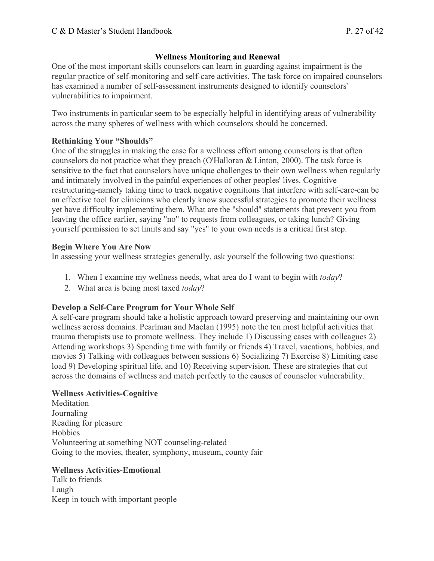### **Wellness Monitoring and Renewal**

 One of the most important skills counselors can learn in guarding against impairment is the regular practice of self-monitoring and self-care activities. The task force on impaired counselors has examined a number of self-assessment instruments designed to identify counselors' vulnerabilities to impairment.

vulnerabilities to impairment.<br>Two instruments in particular seem to be especially helpful in identifying areas of vulnerability across the many spheres of wellness with which counselors should be concerned.

#### **Rethinking Your "Shoulds"**

 One of the struggles in making the case for a wellness effort among counselors is that often counselors do not practice what they preach (O'Halloran & Linton, 2000). The task force is sensitive to the fact that counselors have unique challenges to their own wellness when regularly and intimately involved in the painful experiences of other peoples' lives. Cognitive restructuring-namely taking time to track negative cognitions that interfere with self-care-can be an effective tool for clinicians who clearly know successful strategies to promote their wellness yet have difficulty implementing them. What are the "should" statements that prevent you from leaving the office earlier, saying "no" to requests from colleagues, or taking lunch? Giving yourself permission to set limits and say "yes" to your own needs is a critical first step.

#### **Begin Where You Are Now**

In assessing your wellness strategies generally, ask yourself the following two questions:

- 1. When I examine my wellness needs, what area do I want to begin with *today*?
- 2. What area is being most taxed *today*?

#### **Develop a Self-Care Program for Your Whole Self**

 A self-care program should take a holistic approach toward preserving and maintaining our own wellness across domains. Pearlman and MacIan (1995) note the ten most helpful activities that trauma therapists use to promote wellness. They include 1) Discussing cases with colleagues 2) Attending workshops 3) Spending time with family or friends 4) Travel, vacations, hobbies, and movies 5) Talking with colleagues between sessions 6) Socializing 7) Exercise 8) Limiting case load 9) Developing spiritual life, and 10) Receiving supervision. These are strategies that cut across the domains of wellness and match perfectly to the causes of counselor vulnerability.

#### **Wellness Activities-Cognitive**

 Reading for pleasure Going to the movies, theater, symphony, museum, county fair **Meditation** Journaling Hobbies Volunteering at something NOT counseling-related

#### **Wellness Activities-Emotional**

 Talk to friends Keep in touch with important people Laugh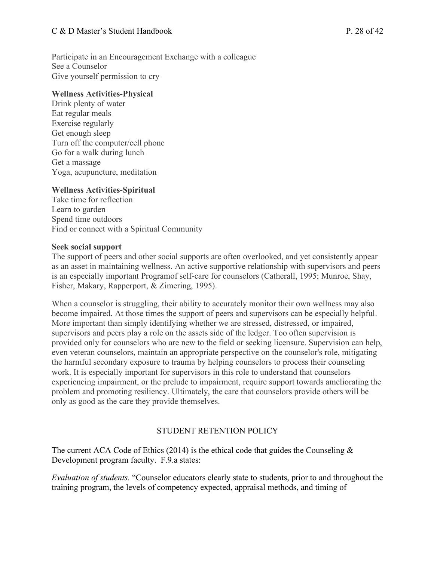#### C & D Master's Student Handbook P. 28 of 42

 Participate in an Encouragement Exchange with a colleague See a Counselor Give yourself permission to cry

#### **Wellness Activities-Physical**

 Drink plenty of water Eat regular meals Exercise regularly Turn off the computer/cell phone Go for a walk during lunch Get a massage Yoga, acupuncture, meditation Get enough sleep

#### **Wellness Activities-Spiritual**

 Take time for reflection Spend time outdoors Find or connect with a Spiritual Community Learn to garden

#### **Seek social support**

 The support of peers and other social supports are often overlooked, and yet consistently appear as an asset in maintaining wellness. An active supportive relationship with supervisors and peers is an especially important Programof self-care for counselors (Catherall, 1995; Munroe, Shay, Fisher, Makary, Rapperport, & Zimering, 1995).

 When a counselor is struggling, their ability to accurately monitor their own wellness may also become impaired. At those times the support of peers and supervisors can be especially helpful. More important than simply identifying whether we are stressed, distressed, or impaired, supervisors and peers play a role on the assets side of the ledger. Too often supervision is provided only for counselors who are new to the field or seeking licensure. Supervision can help, even veteran counselors, maintain an appropriate perspective on the counselor's role, mitigating the harmful secondary exposure to trauma by helping counselors to process their counseling work. It is especially important for supervisors in this role to understand that counselors experiencing impairment, or the prelude to impairment, require support towards ameliorating the problem and promoting resiliency. Ultimately, the care that counselors provide others will be only as good as the care they provide themselves.

#### STUDENT RETENTION POLICY

The current ACA Code of Ethics (2014) is the ethical code that guides the Counseling  $\&$ Development program faculty. F.9.a states:

 *Evaluation of students.* "Counselor educators clearly state to students, prior to and throughout the training program, the levels of competency expected, appraisal methods, and timing of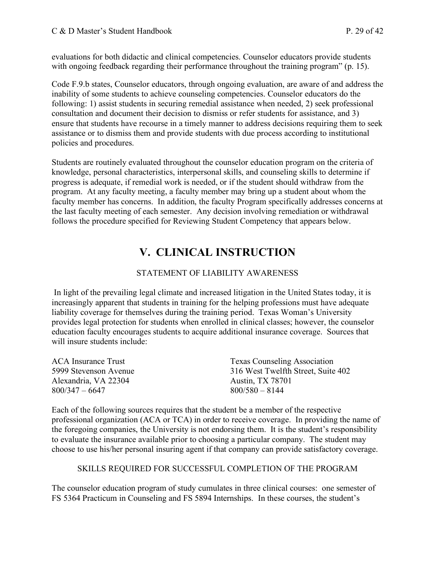evaluations for both didactic and clinical competencies. Counselor educators provide students with ongoing feedback regarding their performance throughout the training program" (p. 15).

 Code F.9.b states, Counselor educators, through ongoing evaluation, are aware of and address the inability of some students to achieve counseling competencies. Counselor educators do the following: 1) assist students in securing remedial assistance when needed, 2) seek professional consultation and document their decision to dismiss or refer students for assistance, and 3) ensure that students have recourse in a timely manner to address decisions requiring them to seek assistance or to dismiss them and provide students with due process according to institutional policies and procedures.

 Students are routinely evaluated throughout the counselor education program on the criteria of knowledge, personal characteristics, interpersonal skills, and counseling skills to determine if progress is adequate, if remedial work is needed, or if the student should withdraw from the program. At any faculty meeting, a faculty member may bring up a student about whom the faculty member has concerns. In addition, the faculty Program specifically addresses concerns at the last faculty meeting of each semester. Any decision involving remediation or withdrawal follows the procedure specified for Reviewing Student Competency that appears below.

## **V. CLINICAL INSTRUCTION**

#### STATEMENT OF LIABILITY AWARENESS

 In light of the prevailing legal climate and increased litigation in the United States today, it is increasingly apparent that students in training for the helping professions must have adequate liability coverage for themselves during the training period. Texas Woman's University provides legal protection for students when enrolled in clinical classes; however, the counselor education faculty encourages students to acquire additional insurance coverage. Sources that will insure students include:

| <b>Texas Counseling Association</b> |
|-------------------------------------|
| 316 West Twelfth Street, Suite 402  |
| <b>Austin, TX 78701</b>             |
| $800/580 - 8144$                    |
|                                     |

 Each of the following sources requires that the student be a member of the respective professional organization (ACA or TCA) in order to receive coverage. In providing the name of the foregoing companies, the University is not endorsing them. It is the student's responsibility to evaluate the insurance available prior to choosing a particular company. The student may choose to use his/her personal insuring agent if that company can provide satisfactory coverage.

#### SKILLS REQUIRED FOR SUCCESSFUL COMPLETION OF THE PROGRAM

 The counselor education program of study cumulates in three clinical courses: one semester of FS 5364 Practicum in Counseling and FS 5894 Internships. In these courses, the student's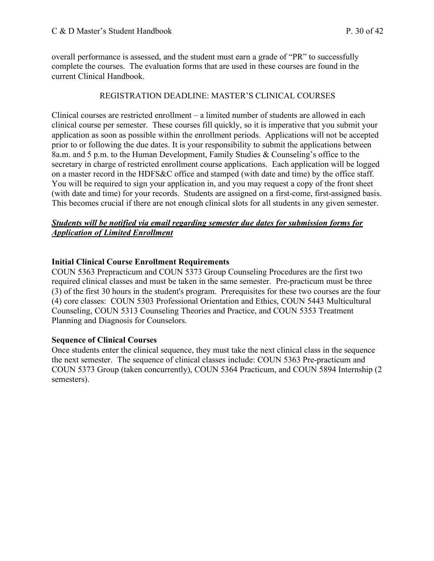overall performance is assessed, and the student must earn a grade of "PR" to successfully complete the courses. The evaluation forms that are used in these courses are found in the current Clinical Handbook.

#### REGISTRATION DEADLINE: MASTER'S CLINICAL COURSES

 Clinical courses are restricted enrollment – a limited number of students are allowed in each clinical course per semester. These courses fill quickly, so it is imperative that you submit your application as soon as possible within the enrollment periods. Applications will not be accepted prior to or following the due dates. It is your responsibility to submit the applications between 8a.m. and 5 p.m. to the Human Development, Family Studies & Counseling's office to the secretary in charge of restricted enrollment course applications. Each application will be logged on a master record in the HDFS&C office and stamped (with date and time) by the office staff. You will be required to sign your application in, and you may request a copy of the front sheet (with date and time) for your records. Students are assigned on a first-come, first-assigned basis. This becomes crucial if there are not enough clinical slots for all students in any given semester.

#### *Students will be notified via email regarding semester due dates for submission forms for Application of Limited Enrollment*

#### **Initial Clinical Course Enrollment Requirements**

 COUN 5363 Prepracticum and COUN 5373 Group Counseling Procedures are the first two required clinical classes and must be taken in the same semester. Pre-practicum must be three (3) of the first 30 hours in the student's program. Prerequisites for these two courses are the four (4) core classes: COUN 5303 Professional Orientation and Ethics, COUN 5443 Multicultural Counseling, COUN 5313 Counseling Theories and Practice, and COUN 5353 Treatment Planning and Diagnosis for Counselors.

#### **Sequence of Clinical Courses**

 Once students enter the clinical sequence, they must take the next clinical class in the sequence the next semester. The sequence of clinical classes include: COUN 5363 Pre-practicum and COUN 5373 Group (taken concurrently), COUN 5364 Practicum, and COUN 5894 Internship (2 semesters).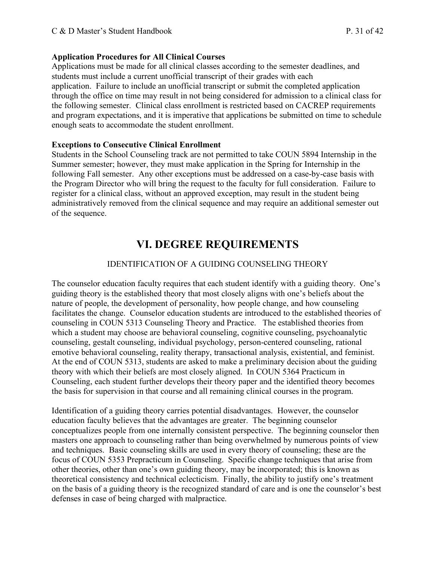#### **Application Procedures for All Clinical Courses**

 Applications must be made for all clinical classes according to the semester deadlines, and students must include a current unofficial transcript of their grades with each application. Failure to include an unofficial transcript or submit the completed application through the office on time may result in not being considered for admission to a clinical class for the following semester. Clinical class enrollment is restricted based on CACREP requirements and program expectations, and it is imperative that applications be submitted on time to schedule enough seats to accommodate the student enrollment.

#### **Exceptions to Consecutive Clinical Enrollment**

 Students in the School Counseling track are not permitted to take COUN 5894 Internship in the Summer semester; however, they must make application in the Spring for Internship in the following Fall semester. Any other exceptions must be addressed on a case-by-case basis with the Program Director who will bring the request to the faculty for full consideration. Failure to register for a clinical class, without an approved exception, may result in the student being administratively removed from the clinical sequence and may require an additional semester out of the sequence.

## **VI. DEGREE REQUIREMENTS**

#### IDENTIFICATION OF A GUIDING COUNSELING THEORY

 The counselor education faculty requires that each student identify with a guiding theory. One's guiding theory is the established theory that most closely aligns with one's beliefs about the nature of people, the development of personality, how people change, and how counseling facilitates the change. Counselor education students are introduced to the established theories of counseling in COUN 5313 Counseling Theory and Practice. The established theories from which a student may choose are behavioral counseling, cognitive counseling, psychoanalytic counseling, gestalt counseling, individual psychology, person-centered counseling, rational emotive behavioral counseling, reality therapy, transactional analysis, existential, and feminist. At the end of COUN 5313, students are asked to make a preliminary decision about the guiding theory with which their beliefs are most closely aligned. In COUN 5364 Practicum in Counseling, each student further develops their theory paper and the identified theory becomes the basis for supervision in that course and all remaining clinical courses in the program.

 Identification of a guiding theory carries potential disadvantages. However, the counselor education faculty believes that the advantages are greater. The beginning counselor conceptualizes people from one internally consistent perspective. The beginning counselor then masters one approach to counseling rather than being overwhelmed by numerous points of view and techniques. Basic counseling skills are used in every theory of counseling; these are the focus of COUN 5353 Prepracticum in Counseling. Specific change techniques that arise from other theories, other than one's own guiding theory, may be incorporated; this is known as theoretical consistency and technical eclecticism. Finally, the ability to justify one's treatment on the basis of a guiding theory is the recognized standard of care and is one the counselor's best defenses in case of being charged with malpractice.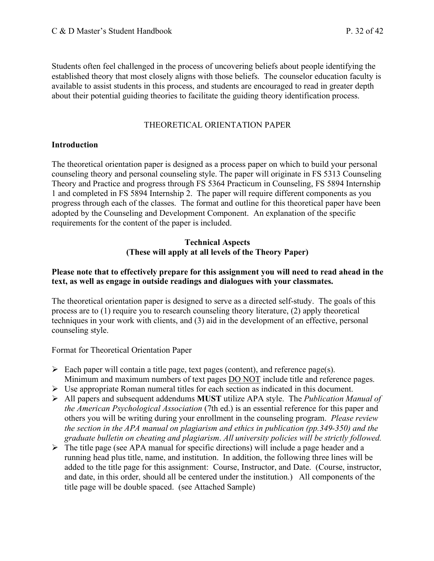Students often feel challenged in the process of uncovering beliefs about people identifying the established theory that most closely aligns with those beliefs. The counselor education faculty is available to assist students in this process, and students are encouraged to read in greater depth about their potential guiding theories to facilitate the guiding theory identification process.

#### THEORETICAL ORIENTATION PAPER

#### **Introduction**

 The theoretical orientation paper is designed as a process paper on which to build your personal counseling theory and personal counseling style. The paper will originate in FS 5313 Counseling Theory and Practice and progress through FS 5364 Practicum in Counseling, FS 5894 Internship 1 and completed in FS 5894 Internship 2. The paper will require different components as you progress through each of the classes. The format and outline for this theoretical paper have been adopted by the Counseling and Development Component. An explanation of the specific requirements for the content of the paper is included.

#### **Technical Aspects (These will apply at all levels of the Theory Paper)**

#### **Please note that to effectively prepare for this assignment you will need to read ahead in the text, as well as engage in outside readings and dialogues with your classmates.**

 The theoretical orientation paper is designed to serve as a directed self-study. The goals of this process are to (1) require you to research counseling theory literature, (2) apply theoretical techniques in your work with clients, and (3) aid in the development of an effective, personal counseling style.

counseling style. Format for Theoretical Orientation Paper

- $\triangleright$  Each paper will contain a title page, text pages (content), and reference page(s). Minimum and maximum numbers of text pages **DO NOT** include title and reference pages.
- $\triangleright$  Use appropriate Roman numeral titles for each section as indicated in this document.
- • All papers and subsequent addendums **MUST** utilize APA style. The *Publication Manual of the American Psychological Association* (7th ed.) is an essential reference for this paper and others you will be writing during your enrollment in the counseling program. *Please review the section in the APA manual on plagiarism and ethics in publication (pp.349-350) and the graduate bulletin on cheating and plagiarism*. *All university policies will be strictly followed.*
- $\triangleright$  The title page (see APA manual for specific directions) will include a page header and a running head plus title, name, and institution. In addition, the following three lines will be added to the title page for this assignment: Course, Instructor, and Date. (Course, instructor, and date, in this order, should all be centered under the institution.) All components of the title page will be double spaced. (see Attached Sample)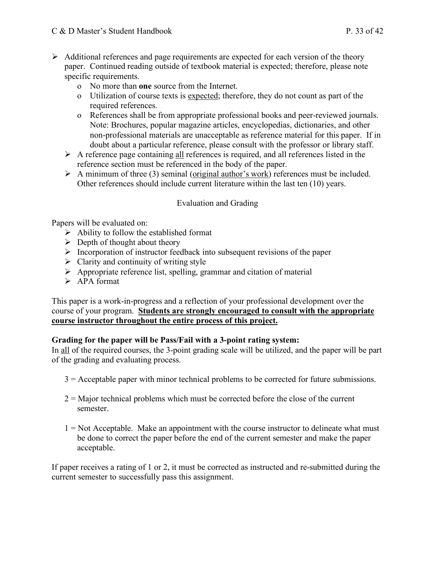- $\triangleright$  Additional references and page requirements are expected for each version of the theory paper. Continued reading outside of textbook material is expected; therefore, please note specific requirements.
	- specific requirements.<br>
	o No more than **one** source from the Internet.
		- o Utilization of course texts is expected; therefore, they do not count as part of the required references.
		- o References shall be from appropriate professional books and peer-reviewed journals. Note: Brochures, popular magazine articles, encyclopedias, dictionaries, and other non-professional materials are unacceptable as reference material for this paper. If in doubt about a particular reference, please consult with the professor or library staff.
	- $\triangleright$  A reference page containing all references is required, and all references listed in the reference section must be referenced in the body of the paper.
	- $\triangleright$  A minimum of three (3) seminal (original author's work) references must be included. Other references should include current literature within the last ten (10) years.

#### Evaluation and Grading

Papers will be evaluated on:

- $\triangleright$  Ability to follow the established format
- $\triangleright$  Depth of thought about theory
- $\triangleright$  Incorporation of instructor feedback into subsequent revisions of the paper
- $\triangleright$  Clarity and continuity of writing style
- $\triangleright$  Appropriate reference list, spelling, grammar and citation of material
- $\triangleright$  APA format

 This paper is a work-in-progress and a reflection of your professional development over the course of your program. **Students are strongly encouraged to consult with the appropriate course instructor throughout the entire process of this project.** 

#### **Grading for the paper will be Pass/Fail with a 3-point rating system:**

In all of the required courses, the 3-point grading scale will be utilized, and the paper will be part of the grading and evaluating process.

- 3 = Acceptable paper with minor technical problems to be corrected for future submissions.
- 2 = Major technical problems which must be corrected before the close of the current semester.
- $1 = Not Acceptable. Make an appointment with the course instructor to delineate what must$  be done to correct the paper before the end of the current semester and make the paper acceptable.

 If paper receives a rating of 1 or 2, it must be corrected as instructed and re-submitted during the current semester to successfully pass this assignment.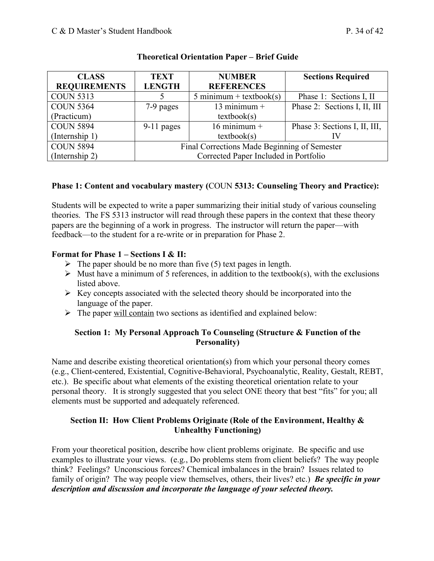| <b>CLASS</b>        | <b>TEXT</b>                                  | <b>NUMBER</b>             | <b>Sections Required</b>      |  |
|---------------------|----------------------------------------------|---------------------------|-------------------------------|--|
| <b>REQUIREMENTS</b> | <b>LENGTH</b>                                | <b>REFERENCES</b>         |                               |  |
| <b>COUN 5313</b>    |                                              | $5$ minimum + textbook(s) | Phase 1: Sections I, II       |  |
| <b>COUN 5364</b>    | 7-9 pages                                    | 13 minimum $+$            | Phase 2: Sections I, II, III  |  |
| (Practicum)         |                                              | textbook(s)               |                               |  |
| <b>COUN 5894</b>    | $9-11$ pages                                 | $16$ minimum +            | Phase 3: Sections I, II, III, |  |
| (Internship 1)      |                                              | textbook(s)               |                               |  |
| <b>COUN 5894</b>    | Final Corrections Made Beginning of Semester |                           |                               |  |
| (Internship 2)      | Corrected Paper Included in Portfolio        |                           |                               |  |

#### **Theoretical Orientation Paper – Brief Guide**

#### **Phase 1: Content and vocabulary mastery (**COUN **5313: Counseling Theory and Practice):**

 Students will be expected to write a paper summarizing their initial study of various counseling theories. The FS 5313 instructor will read through these papers in the context that these theory papers are the beginning of a work in progress. The instructor will return the paper—with feedback—to the student for a re-write or in preparation for Phase 2.

#### **Format for Phase 1 – Sections I & II:**

- $\triangleright$  The paper should be no more than five (5) text pages in length.
- $\triangleright$  Must have a minimum of 5 references, in addition to the textbook(s), with the exclusions listed above.
- $\triangleright$  Key concepts associated with the selected theory should be incorporated into the language of the paper.
- $\triangleright$  The paper <u>will contain</u> two sections as identified and explained below:

#### **Section 1: My Personal Approach To Counseling (Structure & Function of the Personality)**

 Name and describe existing theoretical orientation(s) from which your personal theory comes (e.g., Client-centered, Existential, Cognitive-Behavioral, Psychoanalytic, Reality, Gestalt, REBT, etc.). Be specific about what elements of the existing theoretical orientation relate to your personal theory. It is strongly suggested that you select ONE theory that best "fits" for you; all elements must be supported and adequately referenced.

#### **Section II: How Client Problems Originate (Role of the Environment, Healthy & Unhealthy Functioning)**

 From your theoretical position, describe how client problems originate. Be specific and use examples to illustrate your views. (e.g., Do problems stem from client beliefs? The way people think? Feelings? Unconscious forces? Chemical imbalances in the brain? Issues related to family of origin? The way people view themselves, others, their lives? etc.) *Be specific in your*  description and discussion and incorporate the language of your selected theory.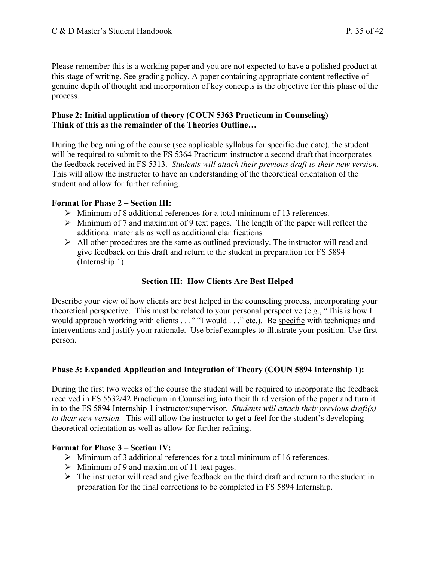Please remember this is a working paper and you are not expected to have a polished product at this stage of writing. See grading policy. A paper containing appropriate content reflective of genuine depth of thought and incorporation of key concepts is the objective for this phase of the process.

#### **Phase 2: Initial application of theory (COUN 5363 Practicum in Counseling) Think of this as the remainder of the Theories Outline…**

 During the beginning of the course (see applicable syllabus for specific due date), the student will be required to submit to the FS 5364 Practicum instructor a second draft that incorporates the feedback received in FS 5313. *Students will attach their previous draft to their new version.*  This will allow the instructor to have an understanding of the theoretical orientation of the student and allow for further refining.

#### **Format for Phase 2 – Section III:**

- $\triangleright$  Minimum of 8 additional references for a total minimum of 13 references.
- $\triangleright$  Minimum of 7 and maximum of 9 text pages. The length of the paper will reflect the additional materials as well as additional clarifications
- $\triangleright$  All other procedures are the same as outlined previously. The instructor will read and give feedback on this draft and return to the student in preparation for FS 5894 (Internship 1).

#### **Section III: How Clients Are Best Helped**

 Describe your view of how clients are best helped in the counseling process, incorporating your theoretical perspective. This must be related to your personal perspective (e.g., "This is how I would approach working with clients . . ." "I would . . ." etc.). Be specific with techniques and interventions and justify your rationale. Use brief examples to illustrate your position. Use first person.

#### **Phase 3: Expanded Application and Integration of Theory (COUN 5894 Internship 1):**

 During the first two weeks of the course the student will be required to incorporate the feedback received in FS 5532/42 Practicum in Counseling into their third version of the paper and turn it in to the FS 5894 Internship 1 instructor/supervisor. *Students will attach their previous draft(s)*  to their new version. This will allow the instructor to get a feel for the student's developing theoretical orientation as well as allow for further refining.

#### **Format for Phase 3 – Section IV:**

- $\triangleright$  Minimum of 3 additional references for a total minimum of 16 references.
- $\triangleright$  Minimum of 9 and maximum of 11 text pages.
- $\triangleright$  The instructor will read and give feedback on the third draft and return to the student in preparation for the final corrections to be completed in FS 5894 Internship.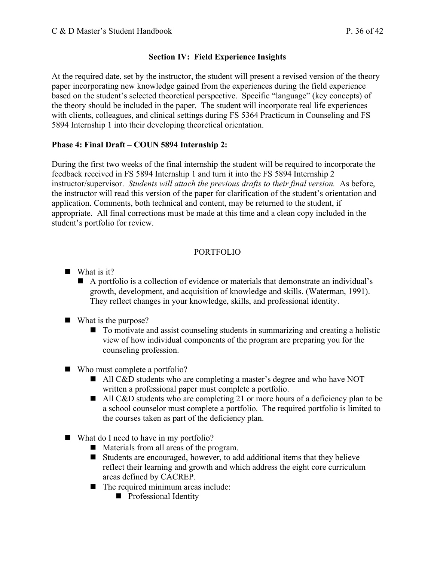#### **Section IV: Field Experience Insights**

 At the required date, set by the instructor, the student will present a revised version of the theory paper incorporating new knowledge gained from the experiences during the field experience based on the student's selected theoretical perspective. Specific "language" (key concepts) of the theory should be included in the paper. The student will incorporate real life experiences with clients, colleagues, and clinical settings during FS 5364 Practicum in Counseling and FS 5894 Internship 1 into their developing theoretical orientation.

### **Phase 4: Final Draft – COUN 5894 Internship 2:**

 During the first two weeks of the final internship the student will be required to incorporate the feedback received in FS 5894 Internship 1 and turn it into the FS 5894 Internship 2 instructor/supervisor. *Students will attach the previous drafts to their final version*. As before, the instructor will read this version of the paper for clarification of the student's orientation and application. Comments, both technical and content, may be returned to the student, if appropriate. All final corrections must be made at this time and a clean copy included in the student's portfolio for review.

### PORTFOLIO

- $\blacksquare$  What is it?
	- A portfolio is a collection of evidence or materials that demonstrate an individual's growth, development, and acquisition of knowledge and skills. (Waterman, 1991). They reflect changes in your knowledge, skills, and professional identity.
- $\blacksquare$  What is the purpose?
	- **•** To motivate and assist counseling students in summarizing and creating a holistic view of how individual components of the program are preparing you for the counseling profession.
- Who must complete a portfolio?
	- All C&D students who are completing a master's degree and who have NOT written a professional paper must complete a portfolio.
	- All C&D students who are completing 21 or more hours of a deficiency plan to be a school counselor must complete a portfolio. The required portfolio is limited to the courses taken as part of the deficiency plan.
- What do I need to have in my portfolio?
	- Materials from all areas of the program.
	- **•** Students are encouraged, however, to add additional items that they believe reflect their learning and growth and which address the eight core curriculum areas defined by CACREP.
	- $\blacksquare$  The required minimum areas include:
		- **Professional Identity**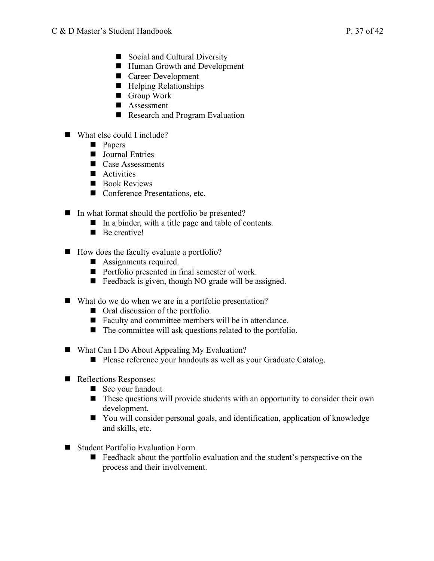- **Social and Cultural Diversity**
- Human Growth and Development
- **Career Development**
- $\blacksquare$  Helping Relationships
- **Group Work**
- $\blacksquare$  Assessment
- **Research and Program Evaluation**
- What else could I include?
	- **•** Papers
	- **Journal Entries**
	- $\blacksquare$  Case Assessments
	- $\blacksquare$  Activities
	- **Book Reviews**
	- Conference Presentations, etc.
- **In what format should the portfolio be presented?** 
	- **IF** In a binder, with a title page and table of contents.
	- **Be creative!**
- How does the faculty evaluate a portfolio?
	- **•** Assignments required.
	- **Portfolio presented in final semester of work.**
	- **•** Feedback is given, though NO grade will be assigned.
- What do we do when we are in a portfolio presentation?
	- Oral discussion of the portfolio.
	- **Faculty and committee members will be in attendance.**
	- $\blacksquare$  The committee will ask questions related to the portfolio.
- What Can I Do About Appealing My Evaluation?
	- **Please reference your handouts as well as your Graduate Catalog.**
- **Reflections Responses:** 
	- See your handout
	- $\blacksquare$  These questions will provide students with an opportunity to consider their own development.
	- You will consider personal goals, and identification, application of knowledge and skills, etc.
- Student Portfolio Evaluation Form
	- Feedback about the portfolio evaluation and the student's perspective on the process and their involvement.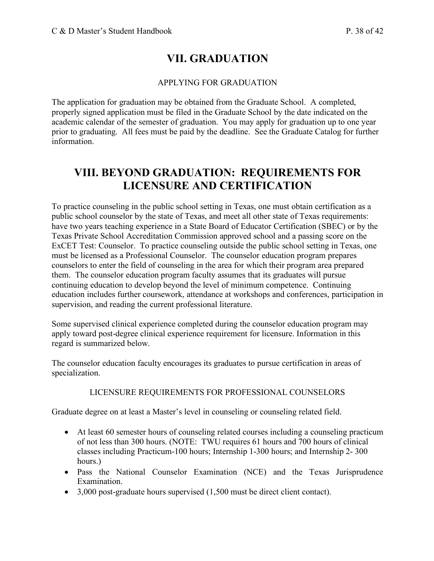## **VII. GRADUATION**

#### APPLYING FOR GRADUATION

 The application for graduation may be obtained from the Graduate School. A completed, properly signed application must be filed in the Graduate School by the date indicated on the academic calendar of the semester of graduation. You may apply for graduation up to one year prior to graduating. All fees must be paid by the deadline. See the Graduate Catalog for further information.

## **VIII. BEYOND GRADUATION: REQUIREMENTS FOR LICENSURE AND CERTIFICATION**

 To practice counseling in the public school setting in Texas, one must obtain certification as a public school counselor by the state of Texas, and meet all other state of Texas requirements: have two years teaching experience in a State Board of Educator Certification (SBEC) or by the Texas Private School Accreditation Commission approved school and a passing score on the ExCET Test: Counselor. To practice counseling outside the public school setting in Texas, one must be licensed as a Professional Counselor. The counselor education program prepares counselors to enter the field of counseling in the area for which their program area prepared them. The counselor education program faculty assumes that its graduates will pursue continuing education to develop beyond the level of minimum competence. Continuing education includes further coursework, attendance at workshops and conferences, participation in supervision, and reading the current professional literature.

 Some supervised clinical experience completed during the counselor education program may apply toward post-degree clinical experience requirement for licensure. Information in this regard is summarized below.

 The counselor education faculty encourages its graduates to pursue certification in areas of specialization. specialization. LICENSURE REQUIREMENTS FOR PROFESSIONAL COUNSELORS

Graduate degree on at least a Master's level in counseling or counseling related field.

- • At least 60 semester hours of counseling related courses including a counseling practicum of not less than 300 hours. (NOTE: TWU requires 61 hours and 700 hours of clinical classes including Practicum-100 hours; Internship 1-300 hours; and Internship 2- 300 hours.)
- • Pass the National Counselor Examination (NCE) and the Texas Jurisprudence Examination.
- 3,000 post-graduate hours supervised (1,500 must be direct client contact).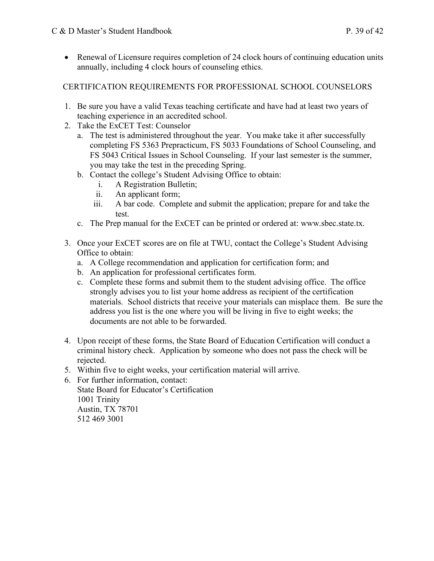• Renewal of Licensure requires completion of 24 clock hours of continuing education units annually, including 4 clock hours of counseling ethics.

### CERTIFICATION REQUIREMENTS FOR PROFESSIONAL SCHOOL COUNSELORS

- 1. Be sure you have a valid Texas teaching certificate and have had at least two years of teaching experience in an accredited school.
- 2. Take the ExCET Test: Counselor
	- a. The test is administered throughout the year. You make take it after successfully completing FS 5363 Prepracticum, FS 5033 Foundations of School Counseling, and FS 5043 Critical Issues in School Counseling. If your last semester is the summer, you may take the test in the preceding Spring.
	- b. Contact the college's Student Advising Office to obtain:
		- i. A Registration Bulletin;
		- ii. An applicant form;
		- iii. A bar code. Complete and submit the application; prepare for and take the test.
	- c. The Prep manual for the ExCET can be printed or ordered at: [www.sbec.state.tx.](www.sbec.state.tx)
- 3. Once your ExCET scores are on file at TWU, contact the College's Student Advising Office to obtain:
	- a. A College recommendation and application for certification form; and
	- b. An application for professional certificates form.
	- c. Complete these forms and submit them to the student advising office. The office strongly advises you to list your home address as recipient of the certification materials. School districts that receive your materials can misplace them. Be sure the address you list is the one where you will be living in five to eight weeks; the documents are not able to be forwarded.
- 4. Upon receipt of these forms, the State Board of Education Certification will conduct a criminal history check. Application by someone who does not pass the check will be rejected.
- 5. Within five to eight weeks, your certification material will arrive.
- 6. For further information, contact: State Board for Educator's Certification Austin, TX 78701 1001 Trinity 512 469 3001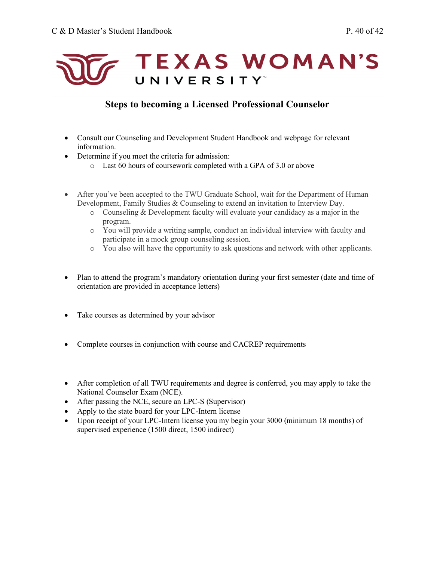

## **Steps to becoming a Licensed Professional Counselor**

- • Consult our Counseling and Development Student Handbook and webpage for relevant information.
- • Determine if you meet the criteria for admission:
	- o Last 60 hours of coursework completed with a GPA of 3.0 or above
- • After you've been accepted to the TWU Graduate School, wait for the Department of Human Development, Family Studies & Counseling to extend an invitation to Interview Day.
	- o Counseling & Development faculty will evaluate your candidacy as a major in the program.
	- o You will provide a writing sample, conduct an individual interview with faculty and participate in a mock group counseling session.
	- o You also will have the opportunity to ask questions and network with other applicants.
- • Plan to attend the program's mandatory orientation during your first semester (date and time of orientation are provided in acceptance letters)
- $\mathbf{r}$  is the set of  $\mathbf{r}$ • Take courses as determined by your advisor
- Complete courses in conjunction with course and CACREP requirements
- • After completion of all TWU requirements and degree is conferred, you may apply to take the National Counselor Exam (NCE).
- After passing the NCE, secure an LPC-S (Supervisor)
- Apply to the state board for your LPC-Intern license
- • Upon receipt of your LPC-Intern license you my begin your 3000 (minimum 18 months) of supervised experience (1500 direct, 1500 indirect)